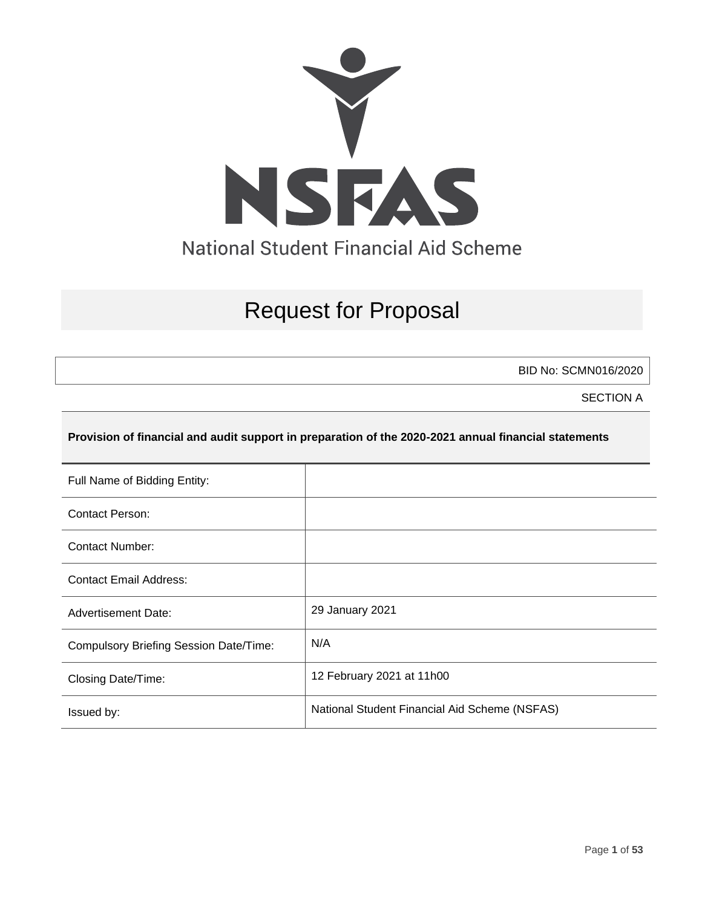

# Request for Proposal

BID No: SCMN016/2020

SECTION A

#### **Provision of financial and audit support in preparation of the 2020-2021 annual financial statements**

| Full Name of Bidding Entity:                  |                                               |
|-----------------------------------------------|-----------------------------------------------|
| Contact Person:                               |                                               |
| <b>Contact Number:</b>                        |                                               |
| <b>Contact Email Address:</b>                 |                                               |
| <b>Advertisement Date:</b>                    | 29 January 2021                               |
| <b>Compulsory Briefing Session Date/Time:</b> | N/A                                           |
| Closing Date/Time:                            | 12 February 2021 at 11h00                     |
| Issued by:                                    | National Student Financial Aid Scheme (NSFAS) |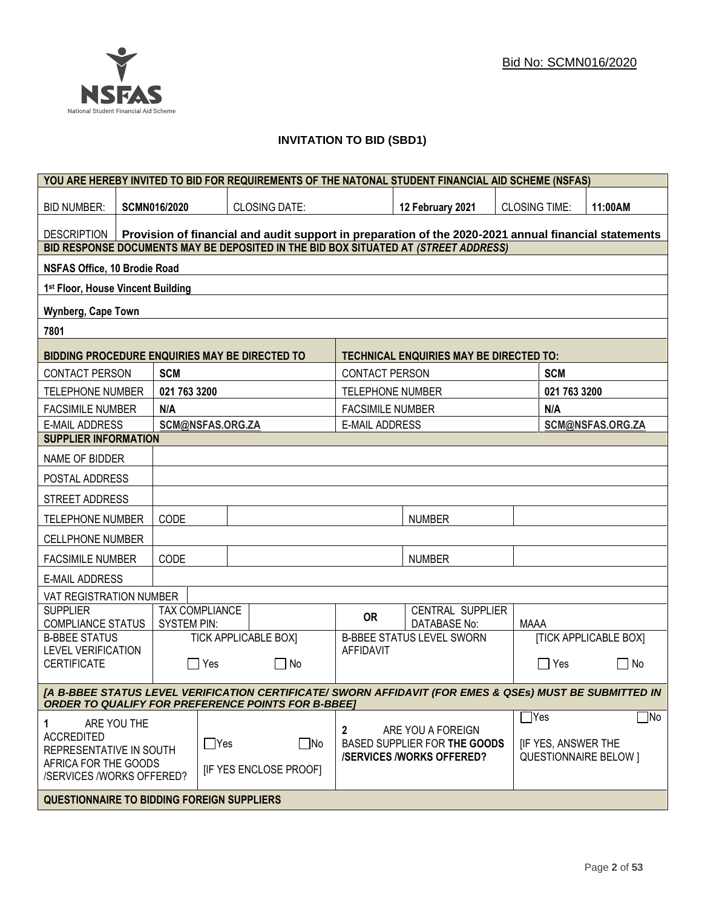## **INVITATION TO BID (SBD1)**

| YOU ARE HEREBY INVITED TO BID FOR REQUIREMENTS OF THE NATONAL STUDENT FINANCIAL AID SCHEME (NSFAS)                                                                   |                                                                                                      |                       |                              |                         |                                                |                      |              |                              |
|----------------------------------------------------------------------------------------------------------------------------------------------------------------------|------------------------------------------------------------------------------------------------------|-----------------------|------------------------------|-------------------------|------------------------------------------------|----------------------|--------------|------------------------------|
| <b>BID NUMBER:</b>                                                                                                                                                   | <b>SCMN016/2020</b>                                                                                  |                       | <b>CLOSING DATE:</b>         |                         | 12 February 2021                               | <b>CLOSING TIME:</b> |              | 11:00AM                      |
| <b>DESCRIPTION</b>                                                                                                                                                   | Provision of financial and audit support in preparation of the 2020-2021 annual financial statements |                       |                              |                         |                                                |                      |              |                              |
| BID RESPONSE DOCUMENTS MAY BE DEPOSITED IN THE BID BOX SITUATED AT (STREET ADDRESS)                                                                                  |                                                                                                      |                       |                              |                         |                                                |                      |              |                              |
| NSFAS Office, 10 Brodie Road                                                                                                                                         |                                                                                                      |                       |                              |                         |                                                |                      |              |                              |
|                                                                                                                                                                      | 1st Floor, House Vincent Building                                                                    |                       |                              |                         |                                                |                      |              |                              |
| Wynberg, Cape Town                                                                                                                                                   |                                                                                                      |                       |                              |                         |                                                |                      |              |                              |
| 7801                                                                                                                                                                 |                                                                                                      |                       |                              |                         |                                                |                      |              |                              |
| <b>BIDDING PROCEDURE ENQUIRIES MAY BE DIRECTED TO</b>                                                                                                                |                                                                                                      |                       |                              |                         | <b>TECHNICAL ENQUIRIES MAY BE DIRECTED TO:</b> |                      |              |                              |
| <b>CONTACT PERSON</b>                                                                                                                                                | <b>SCM</b>                                                                                           |                       |                              | <b>CONTACT PERSON</b>   |                                                |                      | <b>SCM</b>   |                              |
| <b>TELEPHONE NUMBER</b>                                                                                                                                              | 021 763 3200                                                                                         |                       |                              | <b>TELEPHONE NUMBER</b> |                                                |                      | 021 763 3200 |                              |
| <b>FACSIMILE NUMBER</b>                                                                                                                                              | N/A                                                                                                  |                       |                              | <b>FACSIMILE NUMBER</b> |                                                |                      | N/A          |                              |
| <b>E-MAIL ADDRESS</b>                                                                                                                                                |                                                                                                      | SCM@NSFAS.ORG.ZA      |                              | <b>E-MAIL ADDRESS</b>   |                                                |                      |              | SCM@NSFAS.ORG.ZA             |
| <b>SUPPLIER INFORMATION</b>                                                                                                                                          |                                                                                                      |                       |                              |                         |                                                |                      |              |                              |
| NAME OF BIDDER                                                                                                                                                       |                                                                                                      |                       |                              |                         |                                                |                      |              |                              |
| POSTAL ADDRESS                                                                                                                                                       |                                                                                                      |                       |                              |                         |                                                |                      |              |                              |
| STREET ADDRESS                                                                                                                                                       |                                                                                                      |                       |                              |                         |                                                |                      |              |                              |
| <b>TELEPHONE NUMBER</b>                                                                                                                                              | CODE                                                                                                 |                       |                              |                         | <b>NUMBER</b>                                  |                      |              |                              |
| <b>CELLPHONE NUMBER</b>                                                                                                                                              |                                                                                                      |                       |                              |                         |                                                |                      |              |                              |
| <b>FACSIMILE NUMBER</b>                                                                                                                                              | CODE                                                                                                 |                       |                              |                         | <b>NUMBER</b>                                  |                      |              |                              |
| <b>E-MAIL ADDRESS</b>                                                                                                                                                |                                                                                                      |                       |                              |                         |                                                |                      |              |                              |
| VAT REGISTRATION NUMBER                                                                                                                                              |                                                                                                      |                       |                              |                         |                                                |                      |              |                              |
| <b>SUPPLIER</b><br><b>COMPLIANCE STATUS</b>                                                                                                                          | <b>SYSTEM PIN:</b>                                                                                   | <b>TAX COMPLIANCE</b> |                              | <b>OR</b>               | CENTRAL SUPPLIER<br><b>DATABASE No:</b>        | <b>MAAA</b>          |              |                              |
| <b>B-BBEE STATUS</b>                                                                                                                                                 |                                                                                                      |                       | <b>TICK APPLICABLE BOX]</b>  |                         | <b>B-BBEE STATUS LEVEL SWORN</b>               |                      |              | <b>[TICK APPLICABLE BOX]</b> |
| <b>LEVEL VERIFICATION</b><br><b>CERTIFICATE</b>                                                                                                                      |                                                                                                      | Yes                   | No                           | <b>AFFIDAVIT</b>        |                                                |                      | Yes          | No<br>$\blacksquare$         |
|                                                                                                                                                                      |                                                                                                      |                       |                              |                         |                                                |                      |              |                              |
| [A B-BBEE STATUS LEVEL VERIFICATION CERTIFICATE/ SWORN AFFIDAVIT (FOR EMES & QSEs) MUST BE SUBMITTED IN<br><b>ORDER TO QUALIFY FOR PREFERENCE POINTS FOR B-BBEE]</b> |                                                                                                      |                       |                              |                         |                                                |                      |              |                              |
| ARE YOU THE<br>1.                                                                                                                                                    |                                                                                                      |                       |                              |                         | ARE YOU A FOREIGN                              | $\Box$ Yes           |              | $\Box$ No                    |
| <b>ACCREDITED</b><br>$\Box$ Yes<br>$\square$ No                                                                                                                      |                                                                                                      | $\mathbf{2}$          | BASED SUPPLIER FOR THE GOODS |                         | <b>IF YES, ANSWER THE</b>                      |                      |              |                              |
| REPRESENTATIVE IN SOUTH<br>AFRICA FOR THE GOODS                                                                                                                      |                                                                                                      |                       |                              |                         | <b>/SERVICES/WORKS OFFERED?</b>                |                      |              | <b>QUESTIONNAIRE BELOW 1</b> |
| /SERVICES /WORKS OFFERED?                                                                                                                                            |                                                                                                      |                       | <b>IF YES ENCLOSE PROOFI</b> |                         |                                                |                      |              |                              |
| <b>QUESTIONNAIRE TO BIDDING FOREIGN SUPPLIERS</b>                                                                                                                    |                                                                                                      |                       |                              |                         |                                                |                      |              |                              |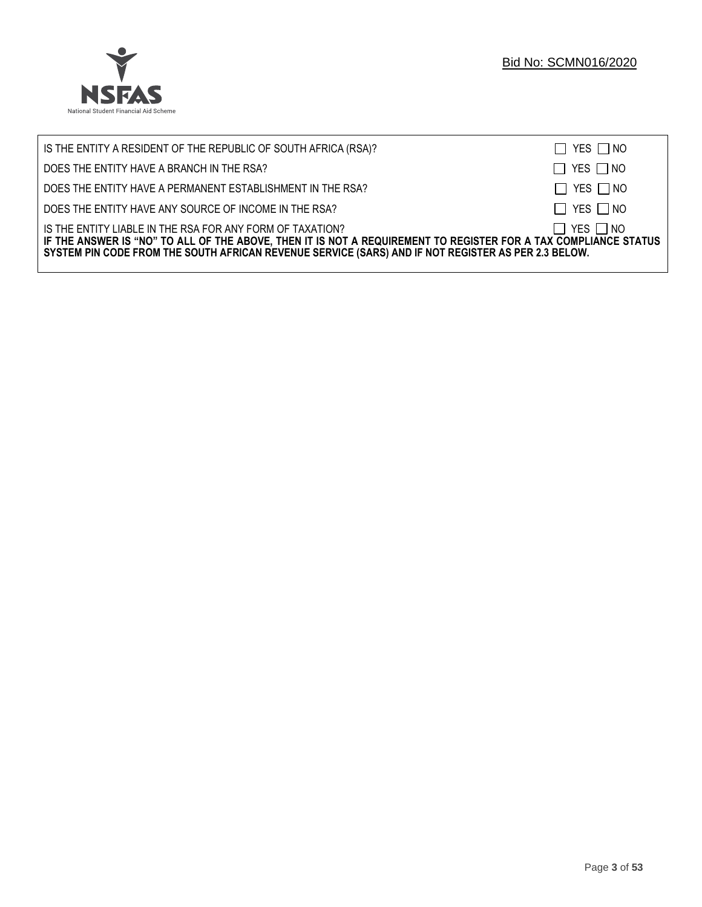

| IS THE ENTITY A RESIDENT OF THE REPUBLIC OF SOUTH AFRICA (RSA)?                                                                                                                                                                                                                     | $\Box$ YES $\Box$ NO |
|-------------------------------------------------------------------------------------------------------------------------------------------------------------------------------------------------------------------------------------------------------------------------------------|----------------------|
| DOES THE ENTITY HAVE A BRANCH IN THE RSA?                                                                                                                                                                                                                                           | $\Box$ YES $\Box$ NO |
| DOES THE ENTITY HAVE A PERMANENT ESTABLISHMENT IN THE RSA?                                                                                                                                                                                                                          | $\Box$ YES $\Box$ NO |
| DOES THE ENTITY HAVE ANY SOURCE OF INCOME IN THE RSA?                                                                                                                                                                                                                               | $\Box$ YES $\Box$ NO |
| IS THE ENTITY LIABLE IN THE RSA FOR ANY FORM OF TAXATION?<br>IF THE ANSWER IS "NO" TO ALL OF THE ABOVE, THEN IT IS NOT A REQUIREMENT TO REGISTER FOR A TAX COMPLIANCE STATUS<br>SYSTEM PIN CODE FROM THE SOUTH AFRICAN REVENUE SERVICE (SARS) AND IF NOT REGISTER AS PER 2.3 BELOW. | $\Box$ YES $\Box$ NO |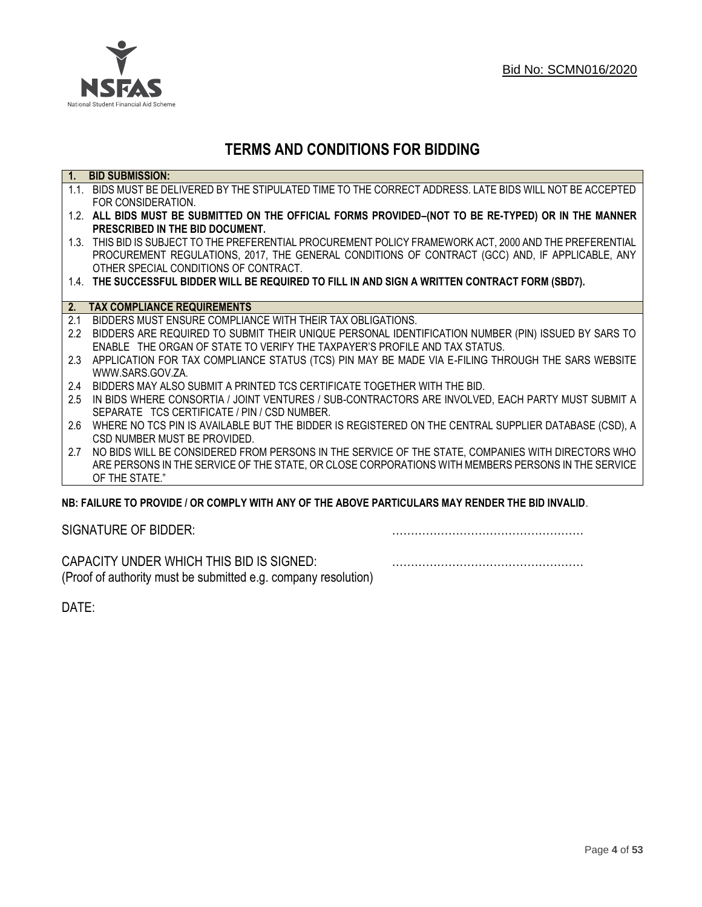

## **TERMS AND CONDITIONS FOR BIDDING**

| $\overline{1}$ . | <b>BID SUBMISSION:</b>                                                                                    |
|------------------|-----------------------------------------------------------------------------------------------------------|
|                  | 1.1. BIDS MUST BE DELIVERED BY THE STIPULATED TIME TO THE CORRECT ADDRESS. LATE BIDS WILL NOT BE ACCEPTED |
|                  | FOR CONSIDERATION.                                                                                        |
|                  | 1.2. ALL BIDS MUST BE SUBMITTED ON THE OFFICIAL FORMS PROVIDED-(NOT TO BE RE-TYPED) OR IN THE MANNER      |
|                  | PRESCRIBED IN THE BID DOCUMENT.                                                                           |
|                  | 1.3. THIS BID IS SUBJECT TO THE PREFERENTIAL PROCUREMENT POLICY FRAMEWORK ACT, 2000 AND THE PREFERENTIAL  |
|                  | PROCUREMENT REGULATIONS, 2017, THE GENERAL CONDITIONS OF CONTRACT (GCC) AND, IF APPLICABLE, ANY           |
|                  | OTHER SPECIAL CONDITIONS OF CONTRACT.                                                                     |
|                  | 1.4. THE SUCCESSFUL BIDDER WILL BE REQUIRED TO FILL IN AND SIGN A WRITTEN CONTRACT FORM (SBD7).           |
|                  |                                                                                                           |
|                  | 2. TAX COMPLIANCE REQUIREMENTS                                                                            |
| 2.1              | BIDDERS MUST ENSURE COMPLIANCE WITH THEIR TAX OBLIGATIONS.                                                |
| $2.2^{\circ}$    | BIDDERS ARE REQUIRED TO SUBMIT THEIR UNIQUE PERSONAL IDENTIFICATION NUMBER (PIN) ISSUED BY SARS TO        |
|                  | ENABLE THE ORGAN OF STATE TO VERIFY THE TAXPAYER'S PROFILE AND TAX STATUS.                                |
| 2.3              | APPLICATION FOR TAX COMPLIANCE STATUS (TCS) PIN MAY BE MADE VIA E-FILING THROUGH THE SARS WEBSITE         |
|                  | WWW.SARS.GOV.ZA.                                                                                          |
| 2.4              | BIDDERS MAY ALSO SUBMIT A PRINTED TCS CERTIFICATE TOGETHER WITH THE BID.                                  |
| 2.5              | IN BIDS WHERE CONSORTIA / JOINT VENTURES / SUB-CONTRACTORS ARE INVOLVED, EACH PARTY MUST SUBMIT A         |
|                  | SEPARATE TCS CERTIFICATE / PIN / CSD NUMBER.                                                              |
| 2.6              | WHERE NO TCS PIN IS AVAILABLE BUT THE BIDDER IS REGISTERED ON THE CENTRAL SUPPLIER DATABASE (CSD), A      |
|                  | CSD NUMBER MUST BE PROVIDED.                                                                              |
| 2.7              | NO BIDS WILL BE CONSIDERED FROM PERSONS IN THE SERVICE OF THE STATE, COMPANIES WITH DIRECTORS WHO         |
|                  | ARE PERSONS IN THE SERVICE OF THE STATE, OR CLOSE CORPORATIONS WITH MEMBERS PERSONS IN THE SERVICE        |
|                  | OF THE STATE."                                                                                            |
|                  | ND. EAILHDE TÓ DDÓVIDE LÓD CÓMDLV WITH ANY ÓE THE ADÓVE DADTICHLADÓ MAY DENDED THE DID INVALID.           |

#### **NB: FAILURE TO PROVIDE / OR COMPLY WITH ANY OF THE ABOVE PARTICULARS MAY RENDER THE BID INVALID**.

|  | SIGNATURE OF BIDDER: |
|--|----------------------|
|--|----------------------|

SIGNATURE OF BIDDER: ……………………………………………

CAPACITY UNDER WHICH THIS BID IS SIGNED: …………………………………………… (Proof of authority must be submitted e.g. company resolution)

DATE: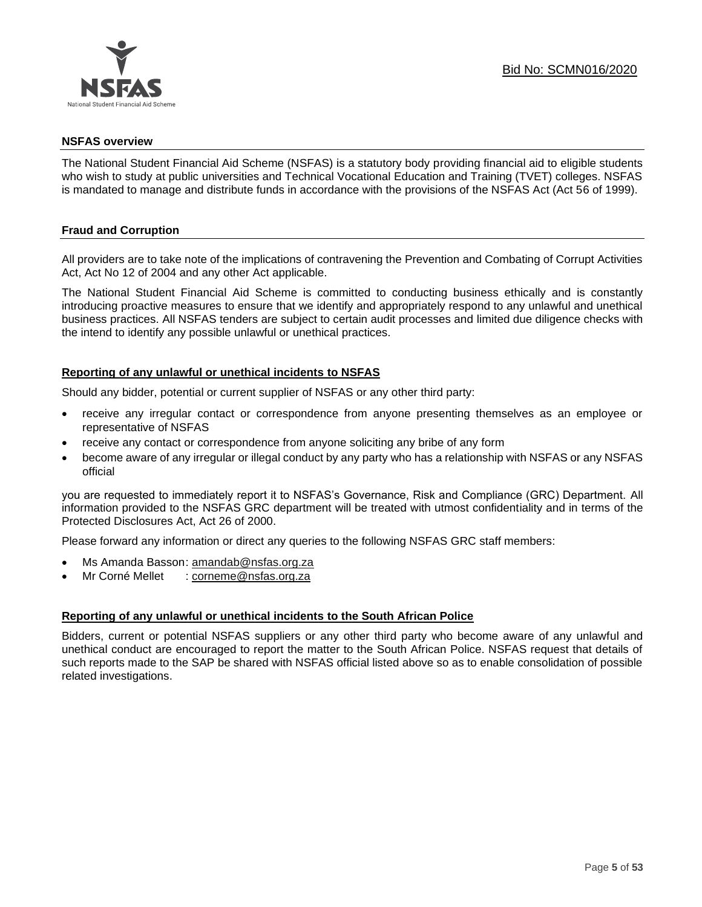

#### **NSFAS overview**

The National Student Financial Aid Scheme (NSFAS) is a statutory body providing financial aid to eligible students who wish to study at public universities and Technical Vocational Education and Training (TVET) colleges. NSFAS is mandated to manage and distribute funds in accordance with the provisions of the NSFAS Act (Act 56 of 1999).

#### **Fraud and Corruption**

All providers are to take note of the implications of contravening the Prevention and Combating of Corrupt Activities Act, Act No 12 of 2004 and any other Act applicable.

The National Student Financial Aid Scheme is committed to conducting business ethically and is constantly introducing proactive measures to ensure that we identify and appropriately respond to any unlawful and unethical business practices. All NSFAS tenders are subject to certain audit processes and limited due diligence checks with the intend to identify any possible unlawful or unethical practices.

#### **Reporting of any unlawful or unethical incidents to NSFAS**

Should any bidder, potential or current supplier of NSFAS or any other third party:

- receive any irregular contact or correspondence from anyone presenting themselves as an employee or representative of NSFAS
- receive any contact or correspondence from anyone soliciting any bribe of any form
- become aware of any irregular or illegal conduct by any party who has a relationship with NSFAS or any NSFAS official

you are requested to immediately report it to NSFAS's Governance, Risk and Compliance (GRC) Department. All information provided to the NSFAS GRC department will be treated with utmost confidentiality and in terms of the Protected Disclosures Act, Act 26 of 2000.

Please forward any information or direct any queries to the following NSFAS GRC staff members:

- Ms Amanda Basson: [amandab@nsfas.org.za](mailto:amandab@nsfas.org.za)
- Mr Corné Mellet : [corneme@nsfas.org.za](mailto:corneme@nsfas.org.za)

#### **Reporting of any unlawful or unethical incidents to the South African Police**

Bidders, current or potential NSFAS suppliers or any other third party who become aware of any unlawful and unethical conduct are encouraged to report the matter to the South African Police. NSFAS request that details of such reports made to the SAP be shared with NSFAS official listed above so as to enable consolidation of possible related investigations.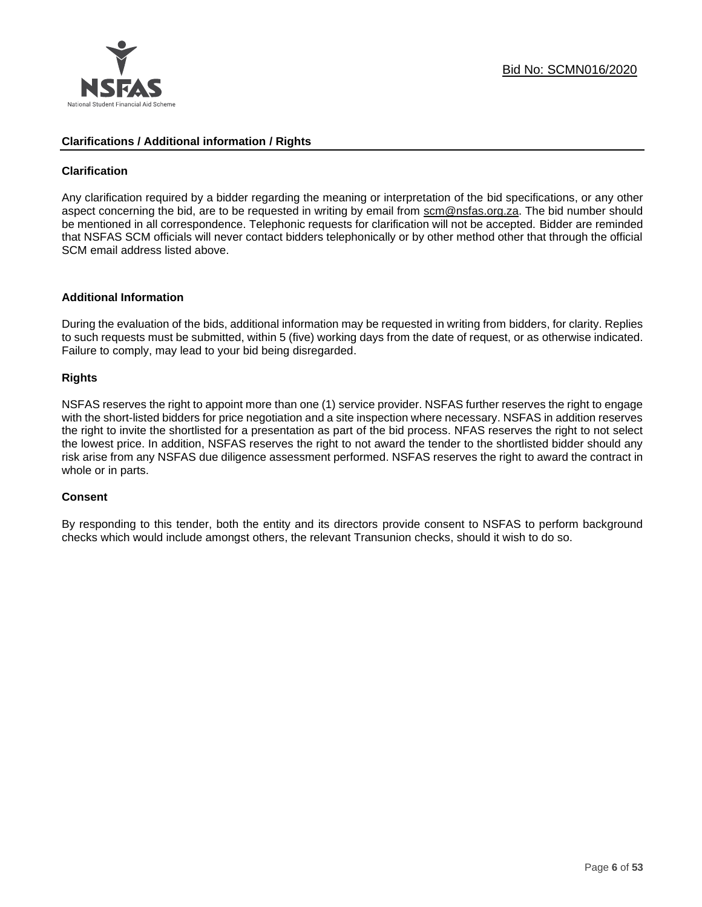

#### **Clarifications / Additional information / Rights**

#### **Clarification**

Any clarification required by a bidder regarding the meaning or interpretation of the bid specifications, or any other aspect concerning the bid, are to be requested in writing by email from scm@nsfas.org.za. The bid number should be mentioned in all correspondence. Telephonic requests for clarification will not be accepted. Bidder are reminded that NSFAS SCM officials will never contact bidders telephonically or by other method other that through the official SCM email address listed above.

#### **Additional Information**

During the evaluation of the bids, additional information may be requested in writing from bidders, for clarity. Replies to such requests must be submitted, within 5 (five) working days from the date of request, or as otherwise indicated. Failure to comply, may lead to your bid being disregarded.

#### **Rights**

NSFAS reserves the right to appoint more than one (1) service provider. NSFAS further reserves the right to engage with the short-listed bidders for price negotiation and a site inspection where necessary. NSFAS in addition reserves the right to invite the shortlisted for a presentation as part of the bid process. NFAS reserves the right to not select the lowest price. In addition, NSFAS reserves the right to not award the tender to the shortlisted bidder should any risk arise from any NSFAS due diligence assessment performed. NSFAS reserves the right to award the contract in whole or in parts.

#### **Consent**

By responding to this tender, both the entity and its directors provide consent to NSFAS to perform background checks which would include amongst others, the relevant Transunion checks, should it wish to do so.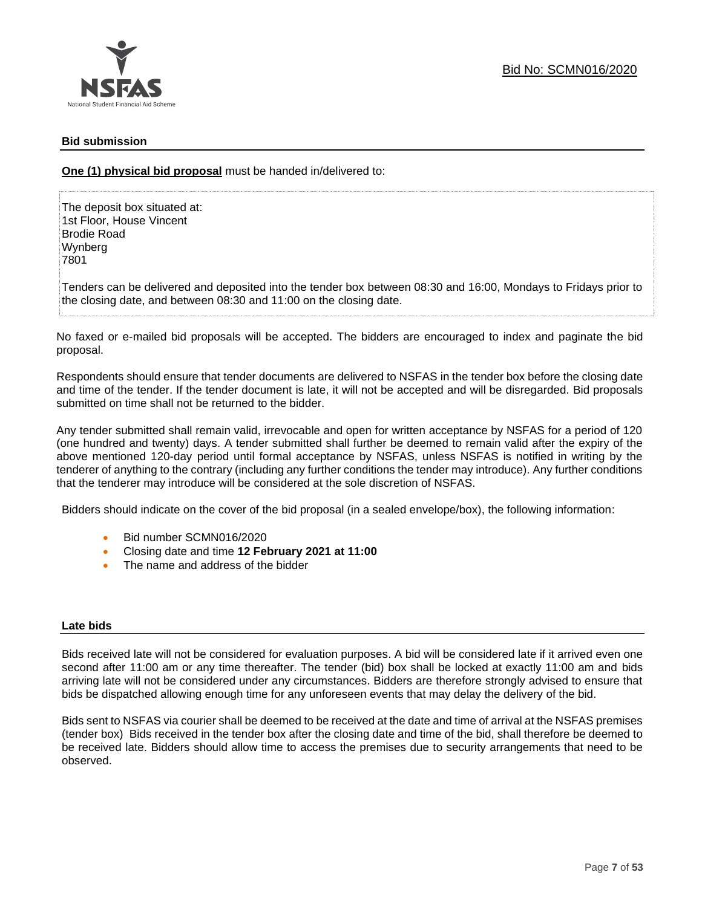#### **Bid submission**

**One (1) physical bid proposal** must be handed in/delivered to:

The deposit box situated at: 1st Floor, House Vincent Brodie Road Wynberg 7801

Tenders can be delivered and deposited into the tender box between 08:30 and 16:00, Mondays to Fridays prior to the closing date, and between 08:30 and 11:00 on the closing date.

No faxed or e-mailed bid proposals will be accepted. The bidders are encouraged to index and paginate the bid proposal.

Respondents should ensure that tender documents are delivered to NSFAS in the tender box before the closing date and time of the tender. If the tender document is late, it will not be accepted and will be disregarded. Bid proposals submitted on time shall not be returned to the bidder.

Any tender submitted shall remain valid, irrevocable and open for written acceptance by NSFAS for a period of 120 (one hundred and twenty) days. A tender submitted shall further be deemed to remain valid after the expiry of the above mentioned 120-day period until formal acceptance by NSFAS, unless NSFAS is notified in writing by the tenderer of anything to the contrary (including any further conditions the tender may introduce). Any further conditions that the tenderer may introduce will be considered at the sole discretion of NSFAS.

Bidders should indicate on the cover of the bid proposal (in a sealed envelope/box), the following information:

- Bid number SCMN016/2020
- Closing date and time **12 February 2021 at 11:00**
- The name and address of the bidder

#### **Late bids**

Bids received late will not be considered for evaluation purposes. A bid will be considered late if it arrived even one second after 11:00 am or any time thereafter. The tender (bid) box shall be locked at exactly 11:00 am and bids arriving late will not be considered under any circumstances. Bidders are therefore strongly advised to ensure that bids be dispatched allowing enough time for any unforeseen events that may delay the delivery of the bid.

Bids sent to NSFAS via courier shall be deemed to be received at the date and time of arrival at the NSFAS premises (tender box) Bids received in the tender box after the closing date and time of the bid, shall therefore be deemed to be received late. Bidders should allow time to access the premises due to security arrangements that need to be observed.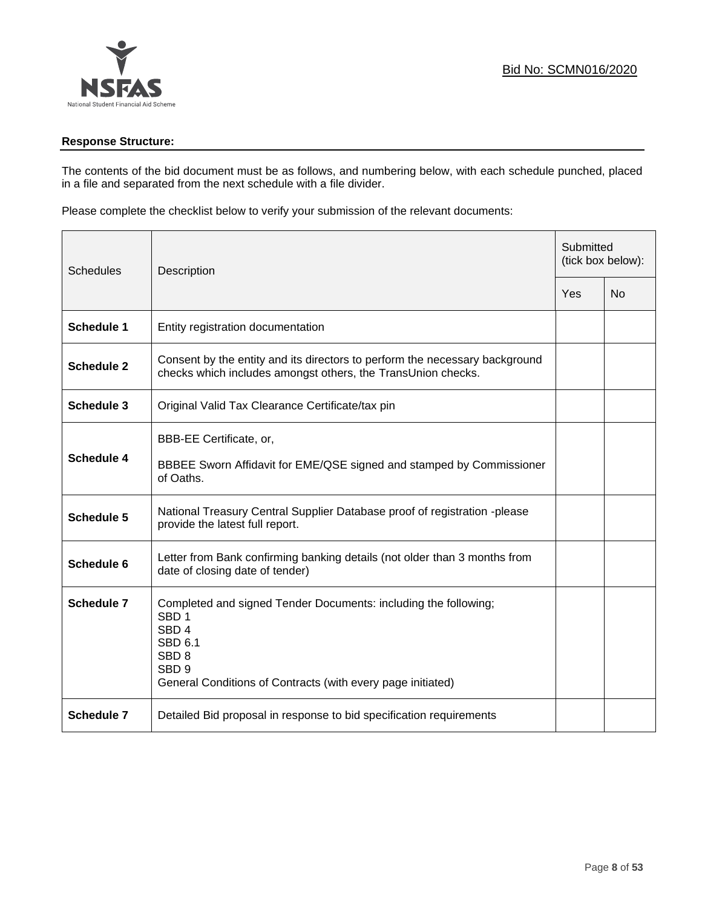

#### **Response Structure:**

The contents of the bid document must be as follows, and numbering below, with each schedule punched, placed in a file and separated from the next schedule with a file divider.

Please complete the checklist below to verify your submission of the relevant documents:

| <b>Schedules</b>  | Description                                                                                                                                                                                                               |     | Submitted<br>(tick box below): |  |
|-------------------|---------------------------------------------------------------------------------------------------------------------------------------------------------------------------------------------------------------------------|-----|--------------------------------|--|
|                   |                                                                                                                                                                                                                           | Yes | <b>No</b>                      |  |
| <b>Schedule 1</b> | Entity registration documentation                                                                                                                                                                                         |     |                                |  |
| <b>Schedule 2</b> | Consent by the entity and its directors to perform the necessary background<br>checks which includes amongst others, the TransUnion checks.                                                                               |     |                                |  |
| <b>Schedule 3</b> | Original Valid Tax Clearance Certificate/tax pin                                                                                                                                                                          |     |                                |  |
| <b>Schedule 4</b> | BBB-EE Certificate, or,<br>BBBEE Sworn Affidavit for EME/QSE signed and stamped by Commissioner<br>of Oaths.                                                                                                              |     |                                |  |
| <b>Schedule 5</b> | National Treasury Central Supplier Database proof of registration -please<br>provide the latest full report.                                                                                                              |     |                                |  |
| Schedule 6        | Letter from Bank confirming banking details (not older than 3 months from<br>date of closing date of tender)                                                                                                              |     |                                |  |
| <b>Schedule 7</b> | Completed and signed Tender Documents: including the following;<br>SBD <sub>1</sub><br>SBD <sub>4</sub><br>SBD 6.1<br>SBD <sub>8</sub><br>SBD <sub>9</sub><br>General Conditions of Contracts (with every page initiated) |     |                                |  |
| <b>Schedule 7</b> | Detailed Bid proposal in response to bid specification requirements                                                                                                                                                       |     |                                |  |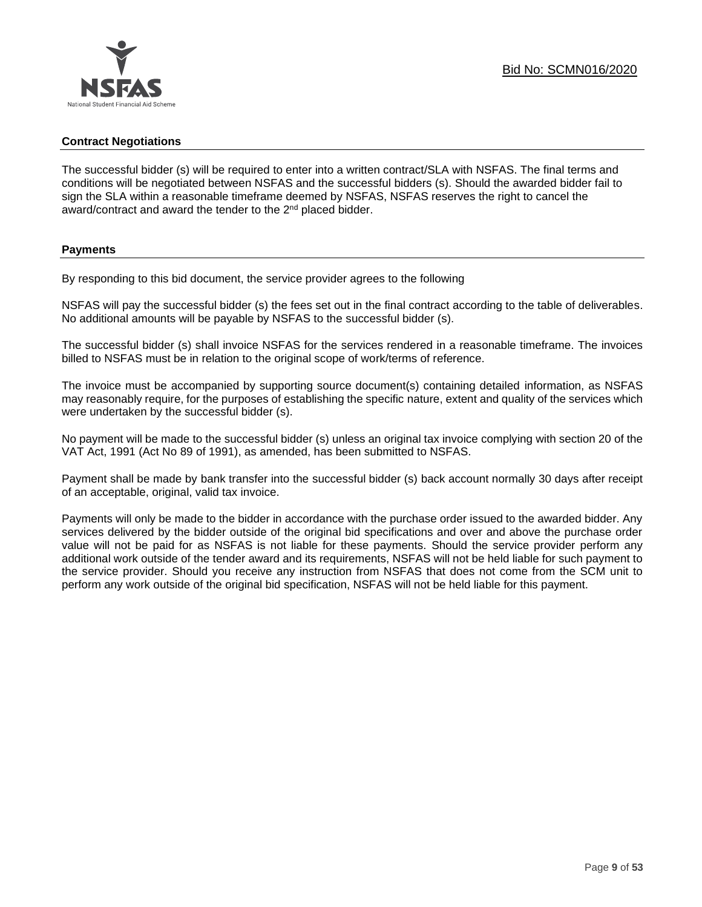#### **Contract Negotiations**

The successful bidder (s) will be required to enter into a written contract/SLA with NSFAS. The final terms and conditions will be negotiated between NSFAS and the successful bidders (s). Should the awarded bidder fail to sign the SLA within a reasonable timeframe deemed by NSFAS, NSFAS reserves the right to cancel the award/contract and award the tender to the 2<sup>nd</sup> placed bidder.

#### **Payments**

By responding to this bid document, the service provider agrees to the following

NSFAS will pay the successful bidder (s) the fees set out in the final contract according to the table of deliverables. No additional amounts will be payable by NSFAS to the successful bidder (s).

The successful bidder (s) shall invoice NSFAS for the services rendered in a reasonable timeframe. The invoices billed to NSFAS must be in relation to the original scope of work/terms of reference.

The invoice must be accompanied by supporting source document(s) containing detailed information, as NSFAS may reasonably require, for the purposes of establishing the specific nature, extent and quality of the services which were undertaken by the successful bidder (s).

No payment will be made to the successful bidder (s) unless an original tax invoice complying with section 20 of the VAT Act, 1991 (Act No 89 of 1991), as amended, has been submitted to NSFAS.

Payment shall be made by bank transfer into the successful bidder (s) back account normally 30 days after receipt of an acceptable, original, valid tax invoice.

Payments will only be made to the bidder in accordance with the purchase order issued to the awarded bidder. Any services delivered by the bidder outside of the original bid specifications and over and above the purchase order value will not be paid for as NSFAS is not liable for these payments. Should the service provider perform any additional work outside of the tender award and its requirements, NSFAS will not be held liable for such payment to the service provider. Should you receive any instruction from NSFAS that does not come from the SCM unit to perform any work outside of the original bid specification, NSFAS will not be held liable for this payment.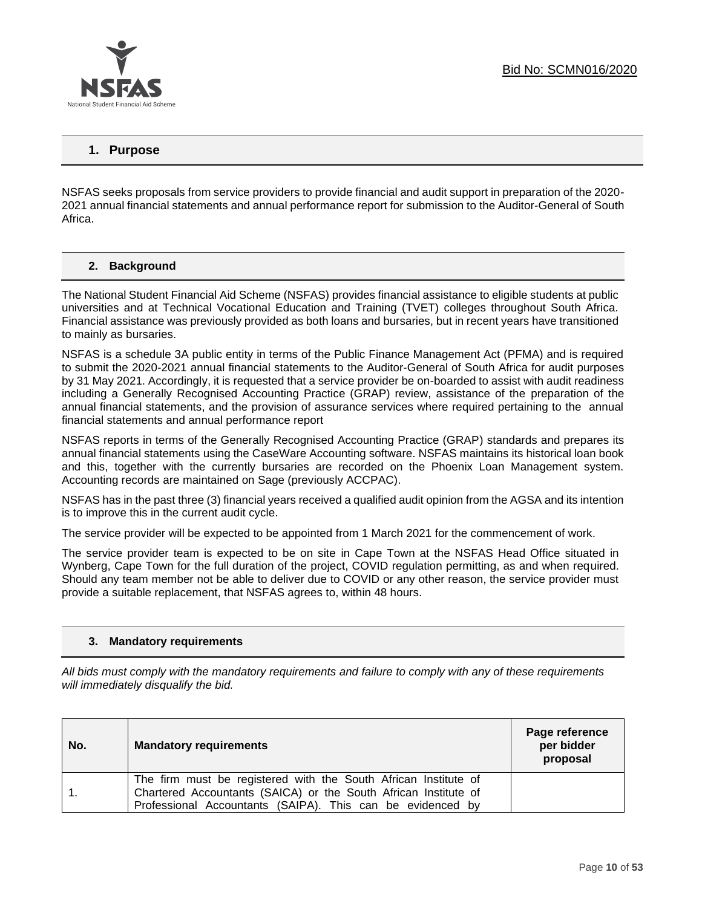

## **1. Purpose**

NSFAS seeks proposals from service providers to provide financial and audit support in preparation of the 2020- 2021 annual financial statements and annual performance report for submission to the Auditor-General of South Africa.

#### **2. Background**

The National Student Financial Aid Scheme (NSFAS) provides financial assistance to eligible students at public universities and at Technical Vocational Education and Training (TVET) colleges throughout South Africa. Financial assistance was previously provided as both loans and bursaries, but in recent years have transitioned to mainly as bursaries.

NSFAS is a schedule 3A public entity in terms of the Public Finance Management Act (PFMA) and is required to submit the 2020-2021 annual financial statements to the Auditor-General of South Africa for audit purposes by 31 May 2021. Accordingly, it is requested that a service provider be on-boarded to assist with audit readiness including a Generally Recognised Accounting Practice (GRAP) review, assistance of the preparation of the annual financial statements, and the provision of assurance services where required pertaining to the annual financial statements and annual performance report

NSFAS reports in terms of the Generally Recognised Accounting Practice (GRAP) standards and prepares its annual financial statements using the CaseWare Accounting software. NSFAS maintains its historical loan book and this, together with the currently bursaries are recorded on the Phoenix Loan Management system. Accounting records are maintained on Sage (previously ACCPAC).

NSFAS has in the past three (3) financial years received a qualified audit opinion from the AGSA and its intention is to improve this in the current audit cycle.

The service provider will be expected to be appointed from 1 March 2021 for the commencement of work.

The service provider team is expected to be on site in Cape Town at the NSFAS Head Office situated in Wynberg, Cape Town for the full duration of the project, COVID regulation permitting, as and when required. Should any team member not be able to deliver due to COVID or any other reason, the service provider must provide a suitable replacement, that NSFAS agrees to, within 48 hours.

#### **3. Mandatory requirements**

*All bids must comply with the mandatory requirements and failure to comply with any of these requirements will immediately disqualify the bid.*

| No. | <b>Mandatory requirements</b>                                                                                                                                                                    | Page reference<br>per bidder<br>proposal |
|-----|--------------------------------------------------------------------------------------------------------------------------------------------------------------------------------------------------|------------------------------------------|
|     | The firm must be registered with the South African Institute of<br>Chartered Accountants (SAICA) or the South African Institute of<br>Professional Accountants (SAIPA). This can be evidenced by |                                          |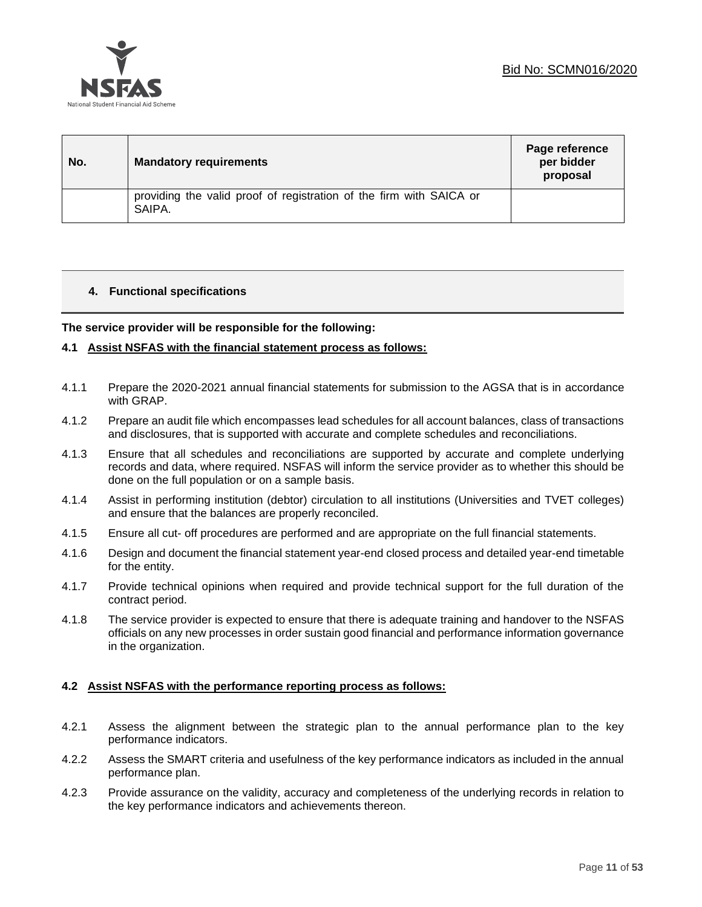

| No. | <b>Mandatory requirements</b>                                                 | Page reference<br>per bidder<br>proposal |
|-----|-------------------------------------------------------------------------------|------------------------------------------|
|     | providing the valid proof of registration of the firm with SAICA or<br>SAIPA. |                                          |

#### **4. Functional specifications**

**The service provider will be responsible for the following:**

#### **4.1 Assist NSFAS with the financial statement process as follows:**

- 4.1.1 Prepare the 2020-2021 annual financial statements for submission to the AGSA that is in accordance with GRAP.
- 4.1.2 Prepare an audit file which encompasses lead schedules for all account balances, class of transactions and disclosures, that is supported with accurate and complete schedules and reconciliations.
- 4.1.3 Ensure that all schedules and reconciliations are supported by accurate and complete underlying records and data, where required. NSFAS will inform the service provider as to whether this should be done on the full population or on a sample basis.
- 4.1.4 Assist in performing institution (debtor) circulation to all institutions (Universities and TVET colleges) and ensure that the balances are properly reconciled.
- 4.1.5 Ensure all cut- off procedures are performed and are appropriate on the full financial statements.
- 4.1.6 Design and document the financial statement year-end closed process and detailed year-end timetable for the entity.
- 4.1.7 Provide technical opinions when required and provide technical support for the full duration of the contract period.
- 4.1.8 The service provider is expected to ensure that there is adequate training and handover to the NSFAS officials on any new processes in order sustain good financial and performance information governance in the organization.

#### **4.2 Assist NSFAS with the performance reporting process as follows:**

- 4.2.1 Assess the alignment between the strategic plan to the annual performance plan to the key performance indicators.
- 4.2.2 Assess the SMART criteria and usefulness of the key performance indicators as included in the annual performance plan.
- 4.2.3 Provide assurance on the validity, accuracy and completeness of the underlying records in relation to the key performance indicators and achievements thereon.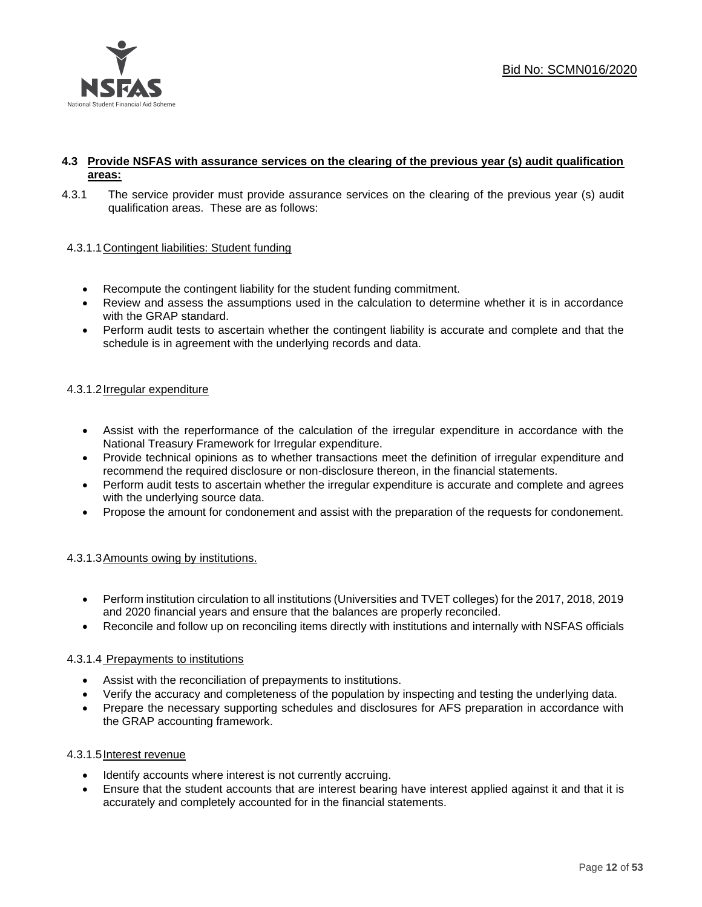

#### **4.3 Provide NSFAS with assurance services on the clearing of the previous year (s) audit qualification areas:**

4.3.1 The service provider must provide assurance services on the clearing of the previous year (s) audit qualification areas. These are as follows:

#### 4.3.1.1Contingent liabilities: Student funding

- Recompute the contingent liability for the student funding commitment.
- Review and assess the assumptions used in the calculation to determine whether it is in accordance with the GRAP standard.
- Perform audit tests to ascertain whether the contingent liability is accurate and complete and that the schedule is in agreement with the underlying records and data.

#### 4.3.1.2Irregular expenditure

- Assist with the reperformance of the calculation of the irregular expenditure in accordance with the National Treasury Framework for Irregular expenditure.
- Provide technical opinions as to whether transactions meet the definition of irregular expenditure and recommend the required disclosure or non-disclosure thereon, in the financial statements.
- Perform audit tests to ascertain whether the irregular expenditure is accurate and complete and agrees with the underlying source data.
- Propose the amount for condonement and assist with the preparation of the requests for condonement.

#### 4.3.1.3Amounts owing by institutions.

- Perform institution circulation to all institutions (Universities and TVET colleges) for the 2017, 2018, 2019 and 2020 financial years and ensure that the balances are properly reconciled.
- Reconcile and follow up on reconciling items directly with institutions and internally with NSFAS officials

#### 4.3.1.4 Prepayments to institutions

- Assist with the reconciliation of prepayments to institutions.
- Verify the accuracy and completeness of the population by inspecting and testing the underlying data.
- Prepare the necessary supporting schedules and disclosures for AFS preparation in accordance with the GRAP accounting framework.

#### 4.3.1.5Interest revenue

- Identify accounts where interest is not currently accruing.
- Ensure that the student accounts that are interest bearing have interest applied against it and that it is accurately and completely accounted for in the financial statements.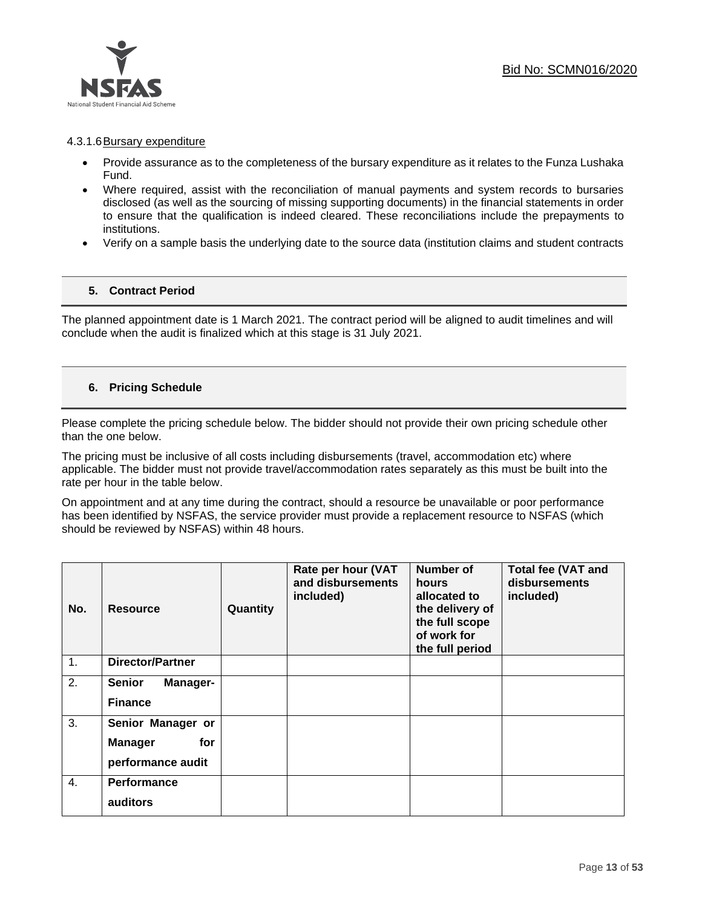

#### 4.3.1.6Bursary expenditure

- Provide assurance as to the completeness of the bursary expenditure as it relates to the Funza Lushaka Fund.
- Where required, assist with the reconciliation of manual payments and system records to bursaries disclosed (as well as the sourcing of missing supporting documents) in the financial statements in order to ensure that the qualification is indeed cleared. These reconciliations include the prepayments to institutions.
- Verify on a sample basis the underlying date to the source data (institution claims and student contracts

#### **5. Contract Period**

The planned appointment date is 1 March 2021. The contract period will be aligned to audit timelines and will conclude when the audit is finalized which at this stage is 31 July 2021.

#### **6. Pricing Schedule**

Please complete the pricing schedule below. The bidder should not provide their own pricing schedule other than the one below.

The pricing must be inclusive of all costs including disbursements (travel, accommodation etc) where applicable. The bidder must not provide travel/accommodation rates separately as this must be built into the rate per hour in the table below.

On appointment and at any time during the contract, should a resource be unavailable or poor performance has been identified by NSFAS, the service provider must provide a replacement resource to NSFAS (which should be reviewed by NSFAS) within 48 hours.

| No.            | <b>Resource</b>           | Quantity | Rate per hour (VAT<br>and disbursements<br>included) | <b>Number of</b><br>hours<br>allocated to<br>the delivery of<br>the full scope<br>of work for<br>the full period | <b>Total fee (VAT and</b><br>disbursements<br>included) |
|----------------|---------------------------|----------|------------------------------------------------------|------------------------------------------------------------------------------------------------------------------|---------------------------------------------------------|
| $\mathbf{1}$ . | <b>Director/Partner</b>   |          |                                                      |                                                                                                                  |                                                         |
| 2.             | <b>Senior</b><br>Manager- |          |                                                      |                                                                                                                  |                                                         |
|                | <b>Finance</b>            |          |                                                      |                                                                                                                  |                                                         |
| 3.             | Senior Manager or         |          |                                                      |                                                                                                                  |                                                         |
|                | <b>Manager</b><br>for     |          |                                                      |                                                                                                                  |                                                         |
|                | performance audit         |          |                                                      |                                                                                                                  |                                                         |
| 4.             | <b>Performance</b>        |          |                                                      |                                                                                                                  |                                                         |
|                | auditors                  |          |                                                      |                                                                                                                  |                                                         |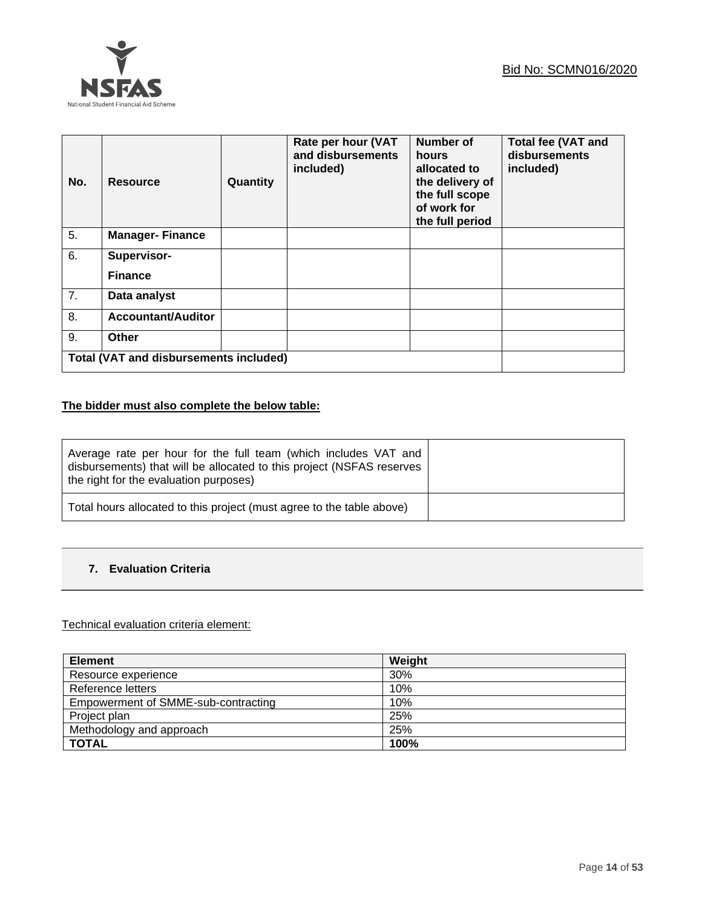

| No.              | Resource                                      | Quantity | Rate per hour (VAT<br>and disbursements<br>included) | Number of<br>hours<br>allocated to<br>the delivery of<br>the full scope<br>of work for<br>the full period | <b>Total fee (VAT and</b><br>disbursements<br>included) |
|------------------|-----------------------------------------------|----------|------------------------------------------------------|-----------------------------------------------------------------------------------------------------------|---------------------------------------------------------|
| $\overline{5}$ . | <b>Manager-Finance</b>                        |          |                                                      |                                                                                                           |                                                         |
| 6.               | Supervisor-                                   |          |                                                      |                                                                                                           |                                                         |
|                  | <b>Finance</b>                                |          |                                                      |                                                                                                           |                                                         |
| 7.               | Data analyst                                  |          |                                                      |                                                                                                           |                                                         |
| 8.               | <b>Accountant/Auditor</b>                     |          |                                                      |                                                                                                           |                                                         |
| 9.               | Other                                         |          |                                                      |                                                                                                           |                                                         |
|                  | <b>Total (VAT and disbursements included)</b> |          |                                                      |                                                                                                           |                                                         |

## **The bidder must also complete the below table:**

| Average rate per hour for the full team (which includes VAT and<br>disbursements) that will be allocated to this project (NSFAS reserves<br>the right for the evaluation purposes) |  |
|------------------------------------------------------------------------------------------------------------------------------------------------------------------------------------|--|
| Total hours allocated to this project (must agree to the table above)                                                                                                              |  |

### **7. Evaluation Criteria**

#### Technical evaluation criteria element:

| <b>Element</b>                      | Weight |
|-------------------------------------|--------|
| Resource experience                 | 30%    |
| Reference letters                   | 10%    |
| Empowerment of SMME-sub-contracting | 10%    |
| Project plan                        | 25%    |
| Methodology and approach            | 25%    |
| <b>TOTAL</b>                        | 100%   |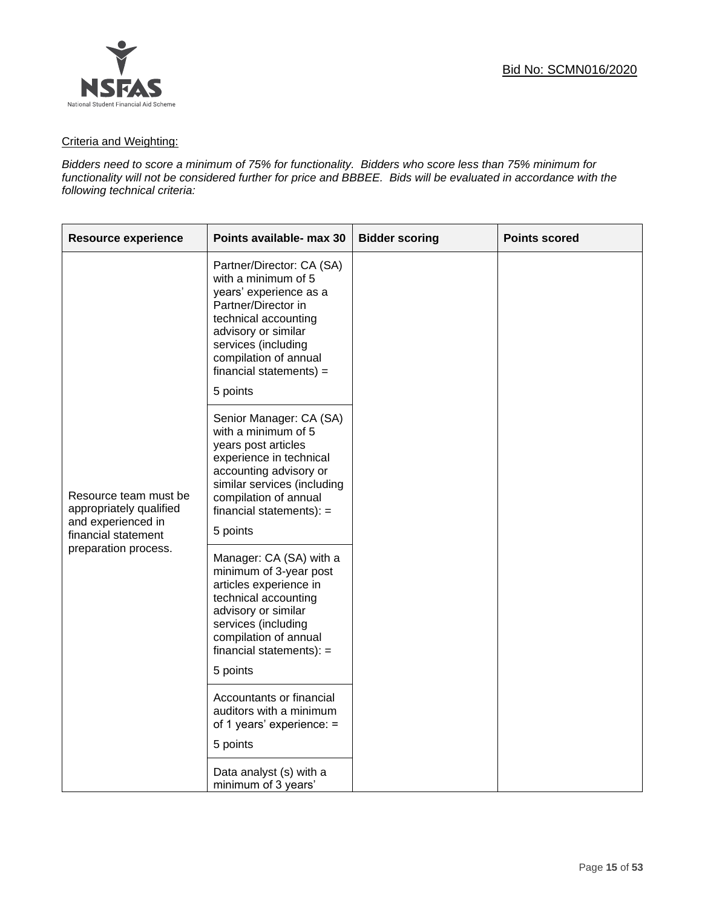

#### Criteria and Weighting:

*Bidders need to score a minimum of 75% for functionality. Bidders who score less than 75% minimum for functionality will not be considered further for price and BBBEE. Bids will be evaluated in accordance with the following technical criteria:*

| <b>Resource experience</b>                                                                                            | Points available- max 30                                                                                                                                                                                                                   | <b>Bidder scoring</b> | <b>Points scored</b> |
|-----------------------------------------------------------------------------------------------------------------------|--------------------------------------------------------------------------------------------------------------------------------------------------------------------------------------------------------------------------------------------|-----------------------|----------------------|
| Resource team must be<br>appropriately qualified<br>and experienced in<br>financial statement<br>preparation process. | Partner/Director: CA (SA)<br>with a minimum of 5<br>years' experience as a<br>Partner/Director in<br>technical accounting<br>advisory or similar<br>services (including<br>compilation of annual<br>$f$ inancial statements) =<br>5 points |                       |                      |
|                                                                                                                       | Senior Manager: CA (SA)<br>with a minimum of 5<br>years post articles<br>experience in technical<br>accounting advisory or<br>similar services (including<br>compilation of annual<br>$f$ inancial statements): =<br>5 points              |                       |                      |
|                                                                                                                       | Manager: CA (SA) with a<br>minimum of 3-year post<br>articles experience in<br>technical accounting<br>advisory or similar<br>services (including<br>compilation of annual<br>financial statements): $=$<br>5 points                       |                       |                      |
|                                                                                                                       | Accountants or financial<br>auditors with a minimum<br>of 1 years' experience: =<br>5 points                                                                                                                                               |                       |                      |
|                                                                                                                       | Data analyst (s) with a<br>minimum of 3 years'                                                                                                                                                                                             |                       |                      |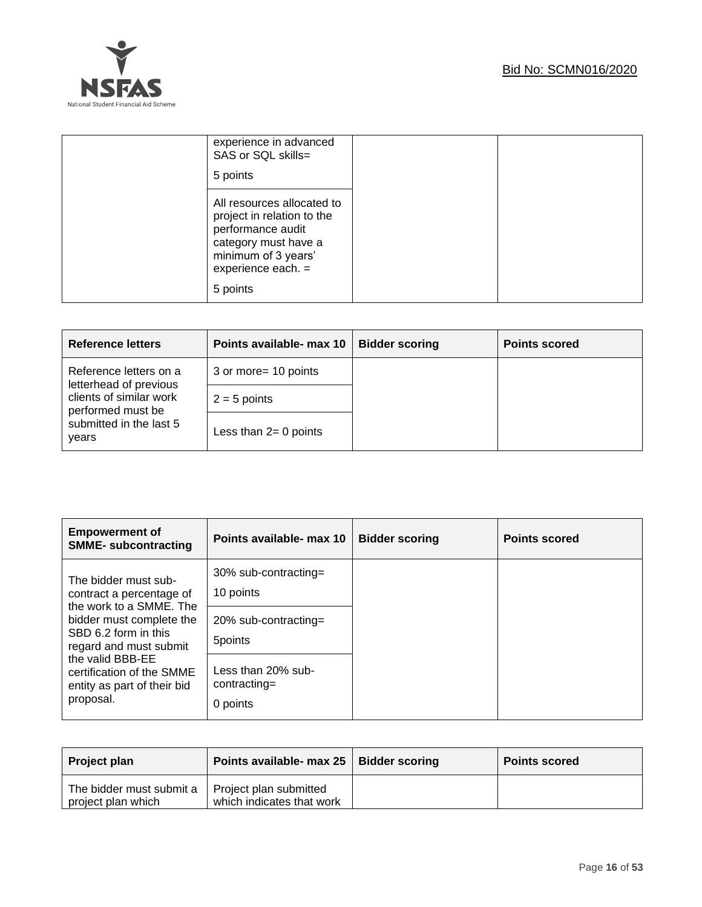

| experience in advanced<br>SAS or SQL skills=<br>5 points                                                                                                         |  |
|------------------------------------------------------------------------------------------------------------------------------------------------------------------|--|
| All resources allocated to<br>project in relation to the<br>performance audit<br>category must have a<br>minimum of 3 years'<br>experience each. $=$<br>5 points |  |

| <b>Reference letters</b>                                                                         | Points available- max 10 | <b>Bidder scoring</b> | <b>Points scored</b> |
|--------------------------------------------------------------------------------------------------|--------------------------|-----------------------|----------------------|
| Reference letters on a<br>letterhead of previous<br>clients of similar work<br>performed must be | 3 or more = 10 points    |                       |                      |
|                                                                                                  | $2 = 5$ points           |                       |                      |
| submitted in the last 5<br>years                                                                 | Less than $2=0$ points   |                       |                      |

| <b>Empowerment of</b><br><b>SMME- subcontracting</b>                                                                                                                                                                                                   | Points available- max 10                       | <b>Bidder scoring</b> | <b>Points scored</b> |
|--------------------------------------------------------------------------------------------------------------------------------------------------------------------------------------------------------------------------------------------------------|------------------------------------------------|-----------------------|----------------------|
| The bidder must sub-<br>contract a percentage of<br>the work to a SMME. The<br>bidder must complete the<br>SBD 6.2 form in this<br>regard and must submit<br>the valid BBB-EE<br>certification of the SMME<br>entity as part of their bid<br>proposal. | 30% sub-contracting=<br>10 points              |                       |                      |
|                                                                                                                                                                                                                                                        | $20\%$ sub-contracting=<br>5points             |                       |                      |
|                                                                                                                                                                                                                                                        | Less than 20% sub-<br>contracting=<br>0 points |                       |                      |

| Project plan                                                            | Points available- max 25   Bidder scoring | <b>Points scored</b> |
|-------------------------------------------------------------------------|-------------------------------------------|----------------------|
| The bidder must submit a   Project plan submitted<br>project plan which | which indicates that work                 |                      |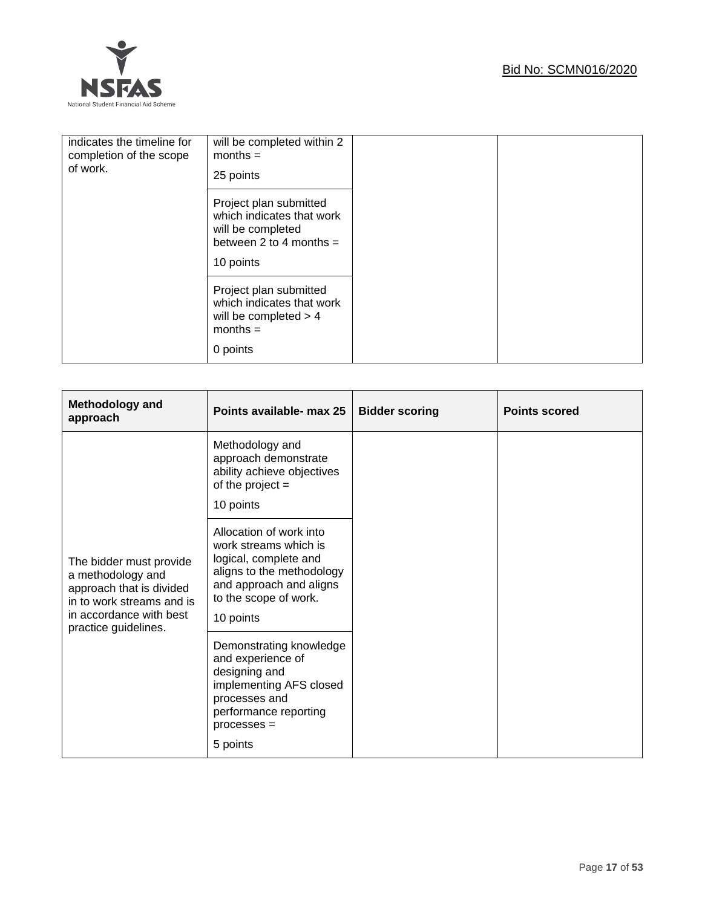## Bid No: SCMN016/2020



| indicates the timeline for<br>completion of the scope<br>of work. | will be completed within 2<br>$months =$<br>25 points                                                              |  |
|-------------------------------------------------------------------|--------------------------------------------------------------------------------------------------------------------|--|
|                                                                   | Project plan submitted<br>which indicates that work<br>will be completed<br>between 2 to 4 months $=$<br>10 points |  |
|                                                                   | Project plan submitted<br>which indicates that work<br>will be completed $> 4$<br>$months =$<br>0 points           |  |

| Methodology and<br>approach                                                                                                                              | Points available- max 25                                                                                                                                                | <b>Bidder scoring</b> | <b>Points scored</b> |
|----------------------------------------------------------------------------------------------------------------------------------------------------------|-------------------------------------------------------------------------------------------------------------------------------------------------------------------------|-----------------------|----------------------|
|                                                                                                                                                          | Methodology and<br>approach demonstrate<br>ability achieve objectives<br>of the project $=$<br>10 points                                                                |                       |                      |
| The bidder must provide<br>a methodology and<br>approach that is divided<br>in to work streams and is<br>in accordance with best<br>practice guidelines. | Allocation of work into<br>work streams which is<br>logical, complete and<br>aligns to the methodology<br>and approach and aligns<br>to the scope of work.<br>10 points |                       |                      |
|                                                                                                                                                          | Demonstrating knowledge<br>and experience of<br>designing and<br>implementing AFS closed<br>processes and<br>performance reporting<br>$processes =$<br>5 points         |                       |                      |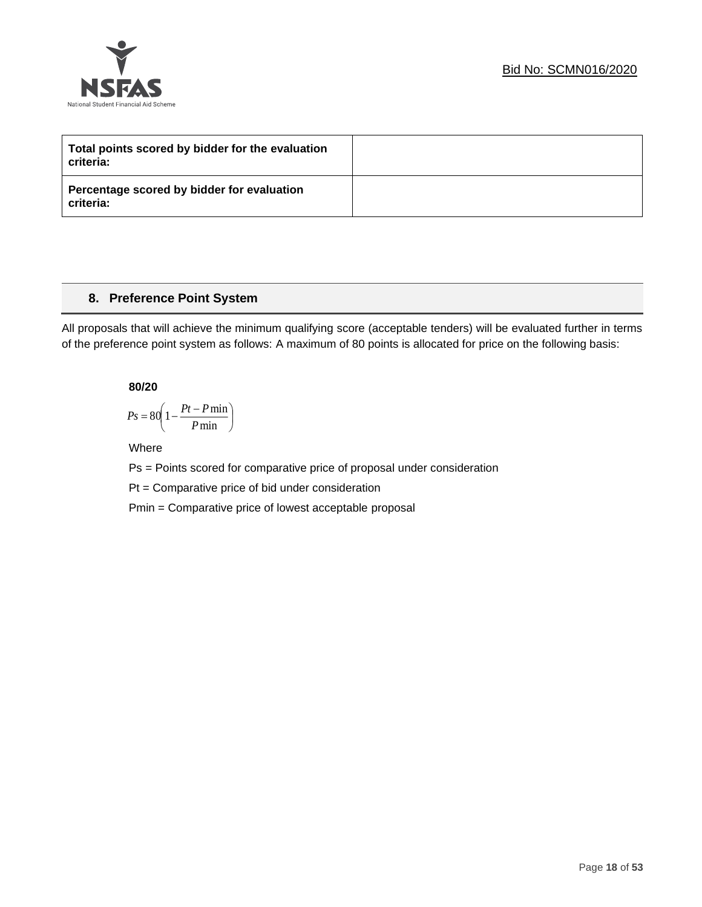



| Total points scored by bidder for the evaluation<br>criteria: |  |
|---------------------------------------------------------------|--|
| Percentage scored by bidder for evaluation<br>criteria:       |  |

## **8. Preference Point System**

All proposals that will achieve the minimum qualifying score (acceptable tenders) will be evaluated further in terms of the preference point system as follows: A maximum of 80 points is allocated for price on the following basis:

**80/20**

$$
Ps = 80 \left( 1 - \frac{Pt - P \min}{P \min} \right)
$$

Where

Ps = Points scored for comparative price of proposal under consideration

Pt = Comparative price of bid under consideration

Pmin = Comparative price of lowest acceptable proposal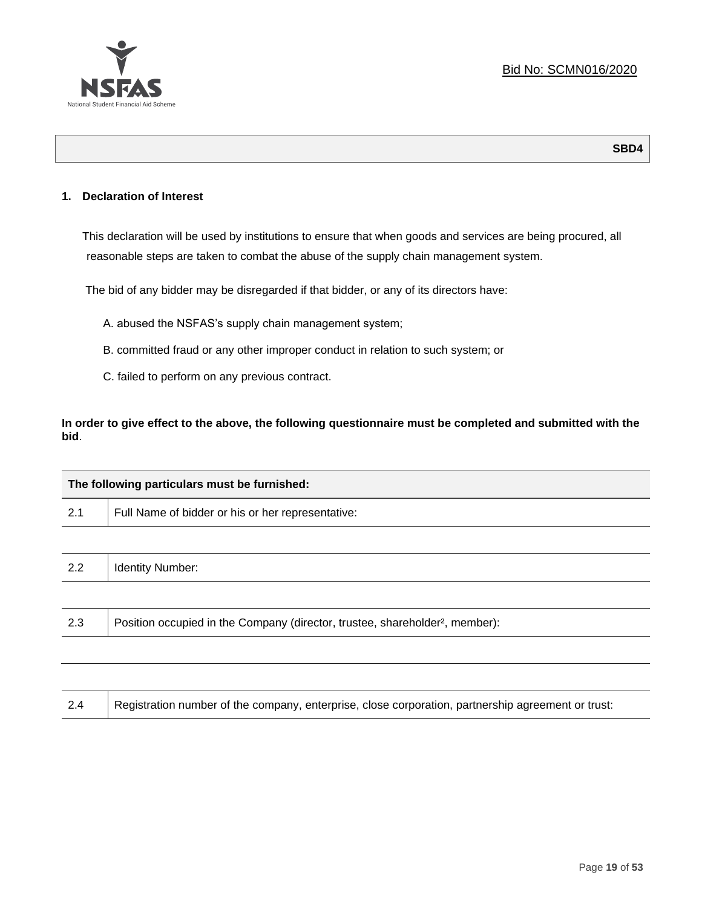

#### **1. Declaration of Interest**

This declaration will be used by institutions to ensure that when goods and services are being procured, all reasonable steps are taken to combat the abuse of the supply chain management system.

The bid of any bidder may be disregarded if that bidder, or any of its directors have:

- A. abused the NSFAS's supply chain management system;
- B. committed fraud or any other improper conduct in relation to such system; or
- C. failed to perform on any previous contract.

**In order to give effect to the above, the following questionnaire must be completed and submitted with the bid**.

|     | The following particulars must be furnished:                                             |  |
|-----|------------------------------------------------------------------------------------------|--|
| 2.1 | Full Name of bidder or his or her representative:                                        |  |
|     |                                                                                          |  |
| 2.2 | <b>Identity Number:</b>                                                                  |  |
|     |                                                                                          |  |
| 2.3 | Position occupied in the Company (director, trustee, shareholder <sup>2</sup> , member): |  |
|     |                                                                                          |  |

| Registration number of the company, enterprise, close corporation, partnership agreement or trust:<br>2.4 |
|-----------------------------------------------------------------------------------------------------------|
|-----------------------------------------------------------------------------------------------------------|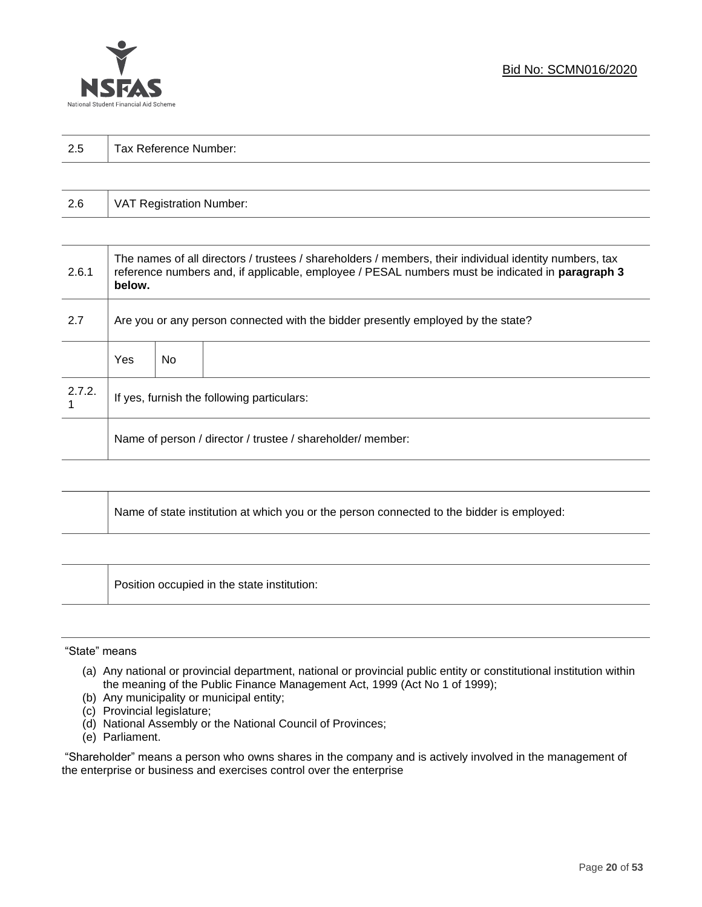

| 2.5 | Τ.<br>Tax Reference Number: |
|-----|-----------------------------|
|     |                             |

| 2.6 | VAT Registration Number: |
|-----|--------------------------|
|-----|--------------------------|

| 2.6.1  | The names of all directors / trustees / shareholders / members, their individual identity numbers, tax<br>reference numbers and, if applicable, employee / PESAL numbers must be indicated in paragraph 3<br>below. |     |  |  |
|--------|---------------------------------------------------------------------------------------------------------------------------------------------------------------------------------------------------------------------|-----|--|--|
| 2.7    | Are you or any person connected with the bidder presently employed by the state?                                                                                                                                    |     |  |  |
|        | Yes                                                                                                                                                                                                                 | No. |  |  |
| 2.7.2. | If yes, furnish the following particulars:                                                                                                                                                                          |     |  |  |
|        | Name of person / director / trustee / shareholder/ member:                                                                                                                                                          |     |  |  |

| Name of state institution at which you or the person connected to the bidder is employed: |
|-------------------------------------------------------------------------------------------|
|                                                                                           |

Position occupied in the state institution:

#### "State" means

┱

- (a) Any national or provincial department, national or provincial public entity or constitutional institution within the meaning of the Public Finance Management Act, 1999 (Act No 1 of 1999);
- (b) Any municipality or municipal entity;
- (c) Provincial legislature;
- (d) National Assembly or the National Council of Provinces;
- (e) Parliament.

"Shareholder" means a person who owns shares in the company and is actively involved in the management of the enterprise or business and exercises control over the enterprise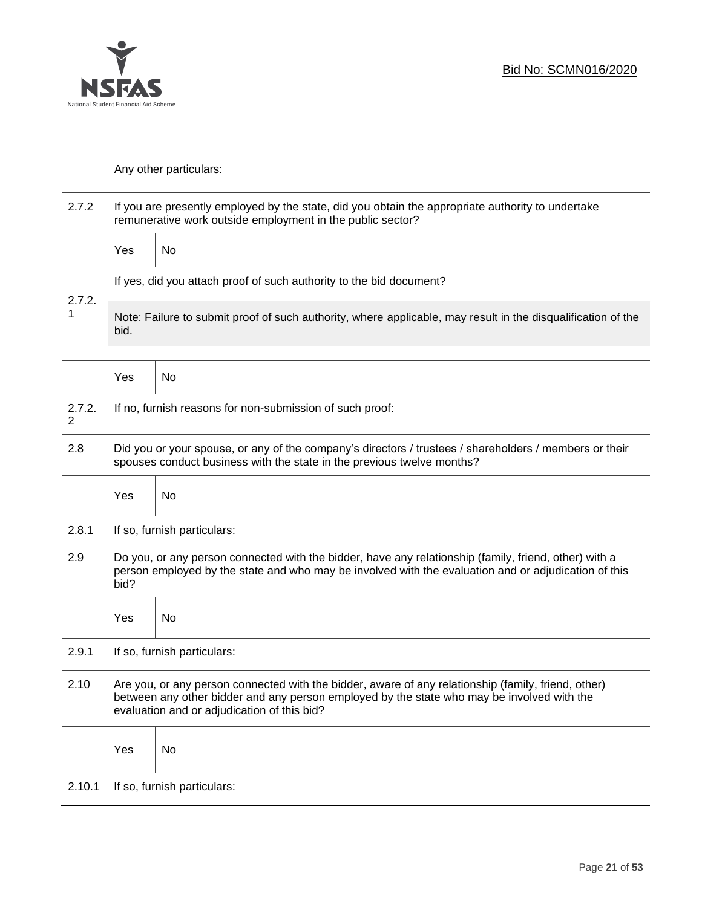

|                          | Any other particulars:                                                                                                                                                                                                                           |                                                                     |                                                          |  |  |  |  |
|--------------------------|--------------------------------------------------------------------------------------------------------------------------------------------------------------------------------------------------------------------------------------------------|---------------------------------------------------------------------|----------------------------------------------------------|--|--|--|--|
| 2.7.2                    | If you are presently employed by the state, did you obtain the appropriate authority to undertake<br>remunerative work outside employment in the public sector?                                                                                  |                                                                     |                                                          |  |  |  |  |
|                          | Yes                                                                                                                                                                                                                                              | No                                                                  |                                                          |  |  |  |  |
|                          |                                                                                                                                                                                                                                                  | If yes, did you attach proof of such authority to the bid document? |                                                          |  |  |  |  |
| 2.7.2.<br>1              | Note: Failure to submit proof of such authority, where applicable, may result in the disqualification of the<br>bid.                                                                                                                             |                                                                     |                                                          |  |  |  |  |
|                          | Yes                                                                                                                                                                                                                                              | No                                                                  |                                                          |  |  |  |  |
| 2.7.2.<br>$\overline{2}$ |                                                                                                                                                                                                                                                  |                                                                     | If no, furnish reasons for non-submission of such proof: |  |  |  |  |
| 2.8                      | Did you or your spouse, or any of the company's directors / trustees / shareholders / members or their<br>spouses conduct business with the state in the previous twelve months?                                                                 |                                                                     |                                                          |  |  |  |  |
|                          | Yes                                                                                                                                                                                                                                              | No                                                                  |                                                          |  |  |  |  |
| 2.8.1                    | If so, furnish particulars:                                                                                                                                                                                                                      |                                                                     |                                                          |  |  |  |  |
| 2.9                      | Do you, or any person connected with the bidder, have any relationship (family, friend, other) with a<br>person employed by the state and who may be involved with the evaluation and or adjudication of this<br>bid?                            |                                                                     |                                                          |  |  |  |  |
|                          | Yes                                                                                                                                                                                                                                              | No                                                                  |                                                          |  |  |  |  |
| 2.9.1                    | If so, furnish particulars:                                                                                                                                                                                                                      |                                                                     |                                                          |  |  |  |  |
| 2.10                     | Are you, or any person connected with the bidder, aware of any relationship (family, friend, other)<br>between any other bidder and any person employed by the state who may be involved with the<br>evaluation and or adjudication of this bid? |                                                                     |                                                          |  |  |  |  |
|                          | Yes                                                                                                                                                                                                                                              | No                                                                  |                                                          |  |  |  |  |
| 2.10.1                   | If so, furnish particulars:                                                                                                                                                                                                                      |                                                                     |                                                          |  |  |  |  |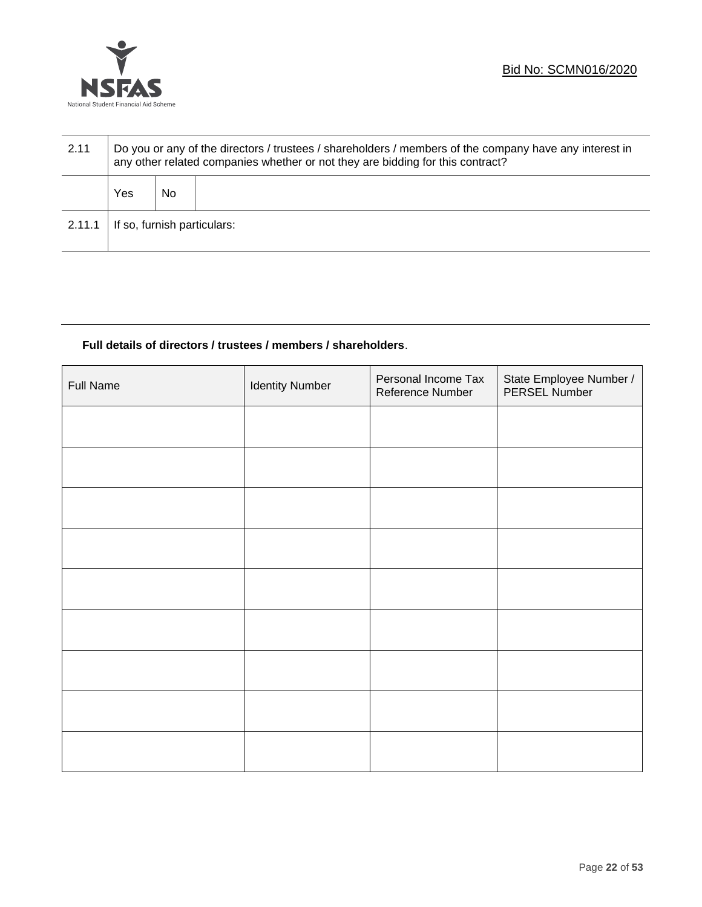

| 2.11   | Do you or any of the directors / trustees / shareholders / members of the company have any interest in<br>any other related companies whether or not they are bidding for this contract? |    |  |  |
|--------|------------------------------------------------------------------------------------------------------------------------------------------------------------------------------------------|----|--|--|
|        | Yes                                                                                                                                                                                      | No |  |  |
| 2.11.1 | If so, furnish particulars:                                                                                                                                                              |    |  |  |

#### **Full details of directors / trustees / members / shareholders**.

| <b>Full Name</b> | <b>Identity Number</b> | Personal Income Tax<br>Reference Number | State Employee Number /<br>PERSEL Number |
|------------------|------------------------|-----------------------------------------|------------------------------------------|
|                  |                        |                                         |                                          |
|                  |                        |                                         |                                          |
|                  |                        |                                         |                                          |
|                  |                        |                                         |                                          |
|                  |                        |                                         |                                          |
|                  |                        |                                         |                                          |
|                  |                        |                                         |                                          |
|                  |                        |                                         |                                          |
|                  |                        |                                         |                                          |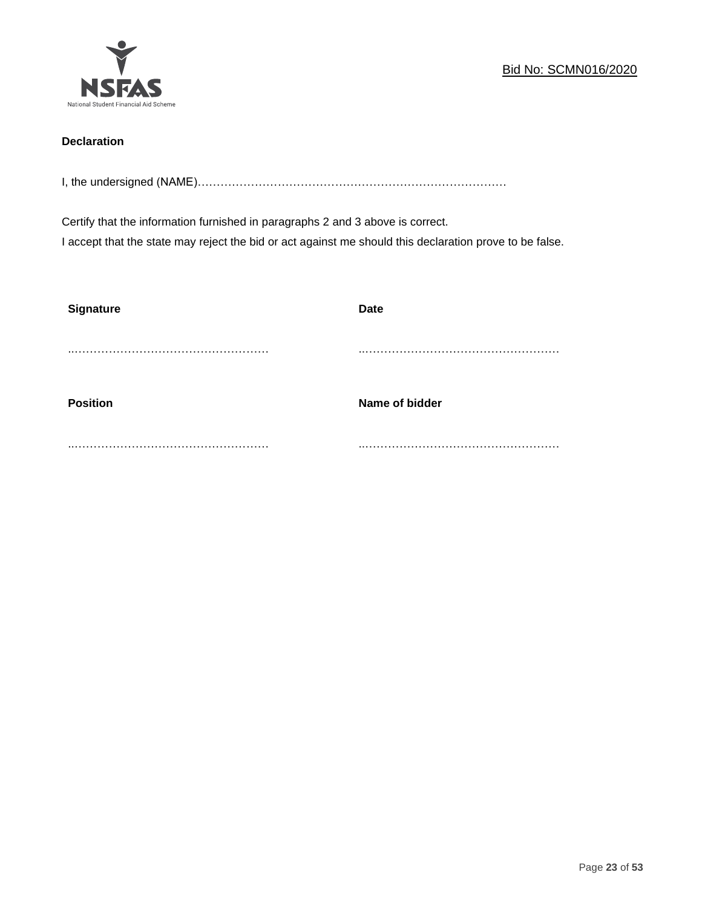

## **Declaration**

I, the undersigned (NAME)………………………………………………………………………

Certify that the information furnished in paragraphs 2 and 3 above is correct. I accept that the state may reject the bid or act against me should this declaration prove to be false.

| <b>Signature</b> | <b>Date</b>    |
|------------------|----------------|
|                  |                |
| <b>Position</b>  | Name of bidder |
|                  |                |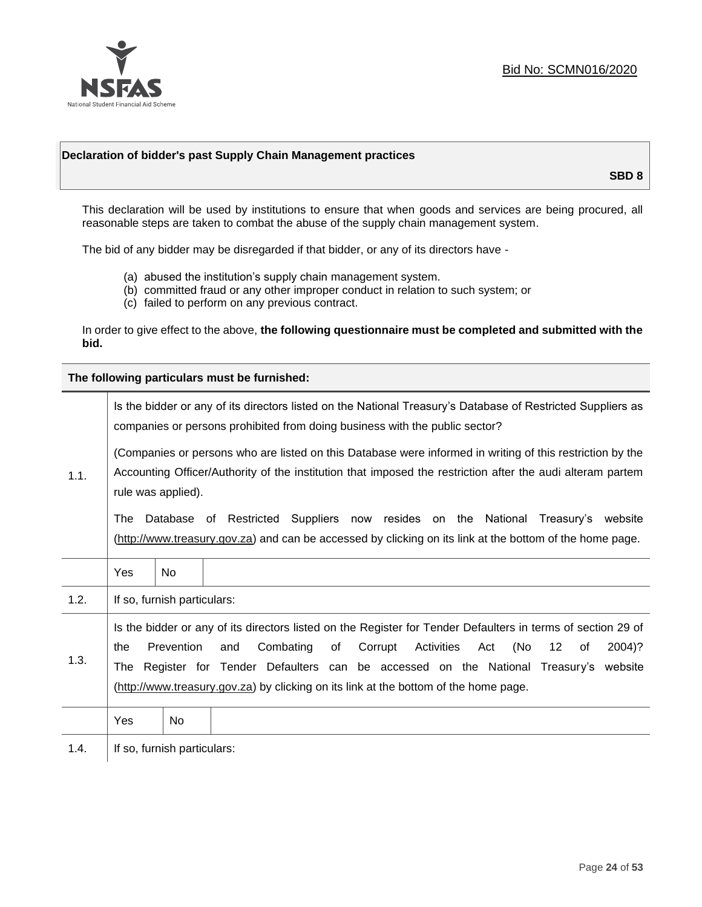

#### **Declaration of bidder's past Supply Chain Management practices**

**SBD 8**

This declaration will be used by institutions to ensure that when goods and services are being procured, all reasonable steps are taken to combat the abuse of the supply chain management system.

The bid of any bidder may be disregarded if that bidder, or any of its directors have -

- (a) abused the institution's supply chain management system.
- (b) committed fraud or any other improper conduct in relation to such system; or
- (c) failed to perform on any previous contract.

In order to give effect to the above, **the following questionnaire must be completed and submitted with the bid.**

**The following particulars must be furnished:**

|      | Is the bidder or any of its directors listed on the National Treasury's Database of Restricted Suppliers as<br>companies or persons prohibited from doing business with the public sector?                                                                                                                                                                                                                        |                             |                                                                                                                                                                                                |  |  |
|------|-------------------------------------------------------------------------------------------------------------------------------------------------------------------------------------------------------------------------------------------------------------------------------------------------------------------------------------------------------------------------------------------------------------------|-----------------------------|------------------------------------------------------------------------------------------------------------------------------------------------------------------------------------------------|--|--|
| 1.1. | (Companies or persons who are listed on this Database were informed in writing of this restriction by the<br>Accounting Officer/Authority of the institution that imposed the restriction after the audi alteram partem<br>rule was applied).                                                                                                                                                                     |                             |                                                                                                                                                                                                |  |  |
|      | The                                                                                                                                                                                                                                                                                                                                                                                                               |                             | Database of Restricted Suppliers now resides on the National<br>Treasury's website<br>(http://www.treasury.gov.za) and can be accessed by clicking on its link at the bottom of the home page. |  |  |
|      | Yes                                                                                                                                                                                                                                                                                                                                                                                                               | No.                         |                                                                                                                                                                                                |  |  |
| 1.2. |                                                                                                                                                                                                                                                                                                                                                                                                                   | If so, furnish particulars: |                                                                                                                                                                                                |  |  |
| 1.3. | Is the bidder or any of its directors listed on the Register for Tender Defaulters in terms of section 29 of<br>Prevention<br>Combating<br>Corrupt<br>Activities<br>(No<br>$12 \,$<br>and<br>of<br>of<br>2004)?<br>the<br>Act<br>Register for Tender Defaulters can be accessed on the National Treasury's website<br>The<br>(http://www.treasury.gov.za) by clicking on its link at the bottom of the home page. |                             |                                                                                                                                                                                                |  |  |
|      | Yes                                                                                                                                                                                                                                                                                                                                                                                                               | No                          |                                                                                                                                                                                                |  |  |
| 1.4. |                                                                                                                                                                                                                                                                                                                                                                                                                   | If so, furnish particulars: |                                                                                                                                                                                                |  |  |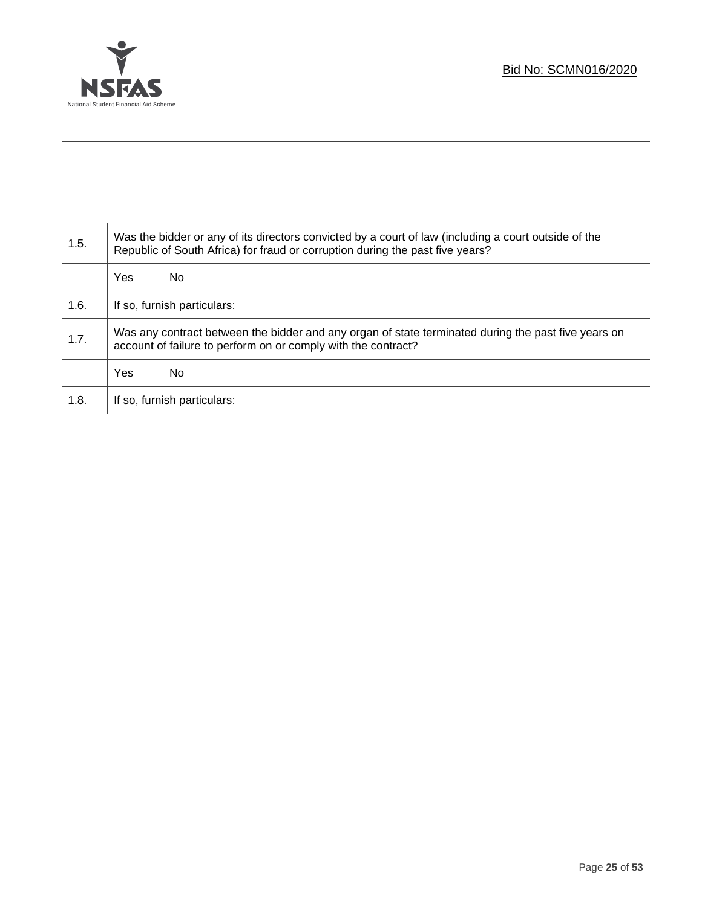

Τ

| 1.5. | Was the bidder or any of its directors convicted by a court of law (including a court outside of the<br>Republic of South Africa) for fraud or corruption during the past five years? |    |  |  |
|------|---------------------------------------------------------------------------------------------------------------------------------------------------------------------------------------|----|--|--|
|      | Yes                                                                                                                                                                                   | No |  |  |
| 1.6. | If so, furnish particulars:                                                                                                                                                           |    |  |  |
| 1.7. | Was any contract between the bidder and any organ of state terminated during the past five years on<br>account of failure to perform on or comply with the contract?                  |    |  |  |
|      | Yes                                                                                                                                                                                   | No |  |  |
| 1.8. | If so, furnish particulars:                                                                                                                                                           |    |  |  |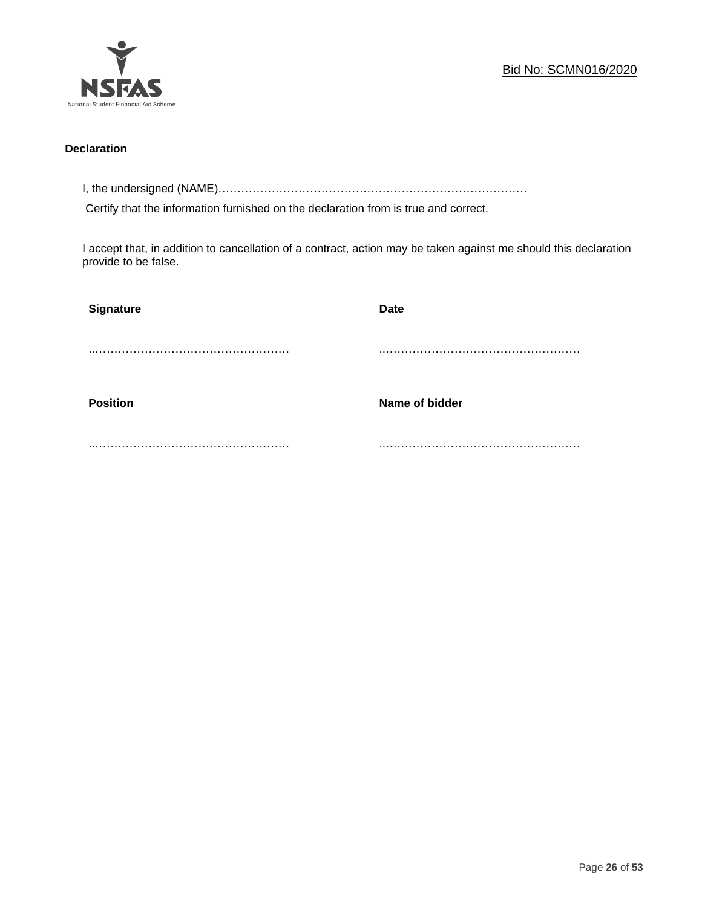

#### **Declaration**

I, the undersigned (NAME)………………………………………………………………………

Certify that the information furnished on the declaration from is true and correct.

I accept that, in addition to cancellation of a contract, action may be taken against me should this declaration provide to be false.

| <b>Signature</b> | <b>Date</b>    |
|------------------|----------------|
|                  |                |
|                  |                |
| <b>Position</b>  | Name of bidder |
|                  |                |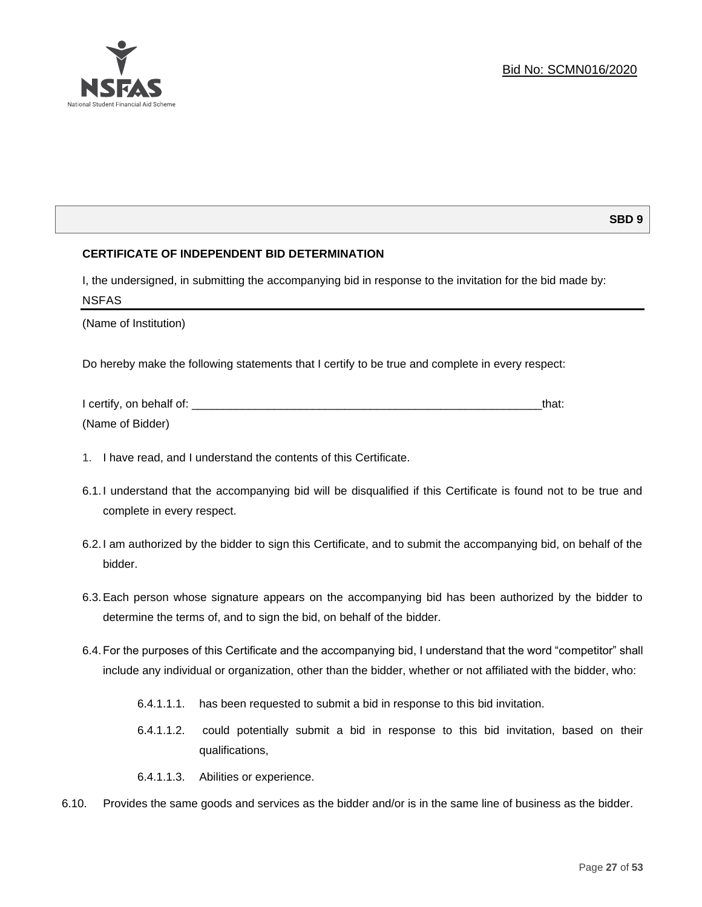

#### **SBD 9**

#### **CERTIFICATE OF INDEPENDENT BID DETERMINATION**

I, the undersigned, in submitting the accompanying bid in response to the invitation for the bid made by: NSFAS

(Name of Institution)

Do hereby make the following statements that I certify to be true and complete in every respect:

| I certify, on behalf of: |  |
|--------------------------|--|
| (Name of Bidder)         |  |

- 1. I have read, and I understand the contents of this Certificate.
- 6.1.I understand that the accompanying bid will be disqualified if this Certificate is found not to be true and complete in every respect.
- 6.2.I am authorized by the bidder to sign this Certificate, and to submit the accompanying bid, on behalf of the bidder.
- 6.3.Each person whose signature appears on the accompanying bid has been authorized by the bidder to determine the terms of, and to sign the bid, on behalf of the bidder.
- 6.4.For the purposes of this Certificate and the accompanying bid, I understand that the word "competitor" shall include any individual or organization, other than the bidder, whether or not affiliated with the bidder, who:
	- 6.4.1.1.1. has been requested to submit a bid in response to this bid invitation.
	- 6.4.1.1.2. could potentially submit a bid in response to this bid invitation, based on their qualifications,
	- 6.4.1.1.3. Abilities or experience.
- 6.10. Provides the same goods and services as the bidder and/or is in the same line of business as the bidder.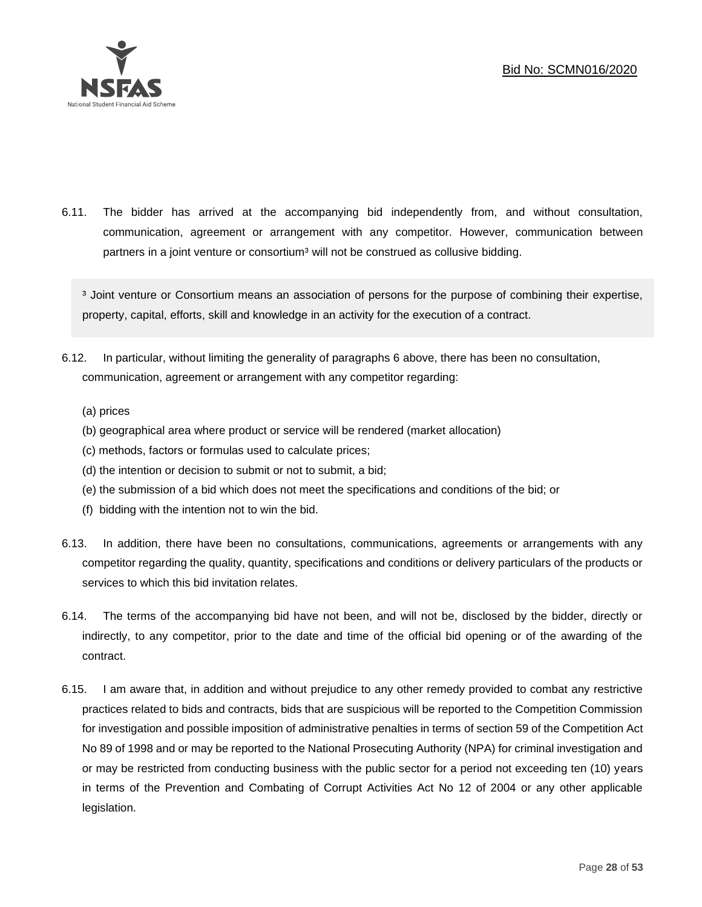

6.11. The bidder has arrived at the accompanying bid independently from, and without consultation, communication, agreement or arrangement with any competitor. However, communication between partners in a joint venture or consortium<sup>3</sup> will not be construed as collusive bidding.

<sup>3</sup> Joint venture or Consortium means an association of persons for the purpose of combining their expertise, property, capital, efforts, skill and knowledge in an activity for the execution of a contract.

- 6.12. In particular, without limiting the generality of paragraphs 6 above, there has been no consultation, communication, agreement or arrangement with any competitor regarding:
	- (a) prices
	- (b) geographical area where product or service will be rendered (market allocation)
	- (c) methods, factors or formulas used to calculate prices;
	- (d) the intention or decision to submit or not to submit, a bid;
	- (e) the submission of a bid which does not meet the specifications and conditions of the bid; or
	- (f) bidding with the intention not to win the bid.
- 6.13. In addition, there have been no consultations, communications, agreements or arrangements with any competitor regarding the quality, quantity, specifications and conditions or delivery particulars of the products or services to which this bid invitation relates.
- 6.14. The terms of the accompanying bid have not been, and will not be, disclosed by the bidder, directly or indirectly, to any competitor, prior to the date and time of the official bid opening or of the awarding of the contract.
- 6.15. I am aware that, in addition and without prejudice to any other remedy provided to combat any restrictive practices related to bids and contracts, bids that are suspicious will be reported to the Competition Commission for investigation and possible imposition of administrative penalties in terms of section 59 of the Competition Act No 89 of 1998 and or may be reported to the National Prosecuting Authority (NPA) for criminal investigation and or may be restricted from conducting business with the public sector for a period not exceeding ten (10) years in terms of the Prevention and Combating of Corrupt Activities Act No 12 of 2004 or any other applicable legislation.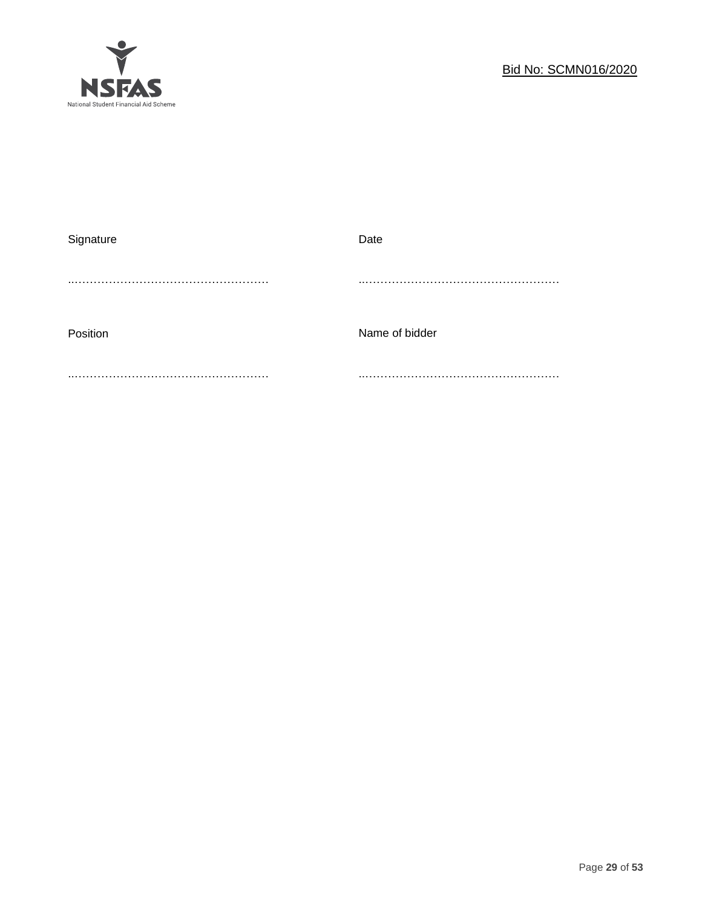

| Signature | Date           |
|-----------|----------------|
|           |                |
| Position  | Name of bidder |
|           |                |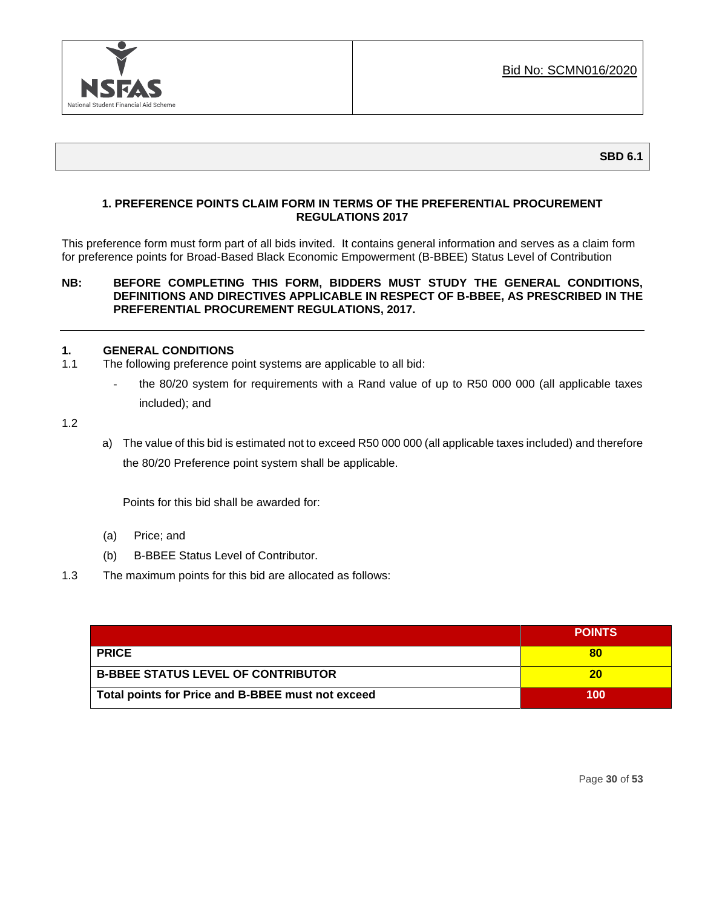

**SBD 6.1**

#### **1. PREFERENCE POINTS CLAIM FORM IN TERMS OF THE PREFERENTIAL PROCUREMENT REGULATIONS 2017**

This preference form must form part of all bids invited. It contains general information and serves as a claim form for preference points for Broad-Based Black Economic Empowerment (B-BBEE) Status Level of Contribution

#### **NB: BEFORE COMPLETING THIS FORM, BIDDERS MUST STUDY THE GENERAL CONDITIONS, DEFINITIONS AND DIRECTIVES APPLICABLE IN RESPECT OF B-BBEE, AS PRESCRIBED IN THE PREFERENTIAL PROCUREMENT REGULATIONS, 2017.**

#### **1. GENERAL CONDITIONS**

- 1.1 The following preference point systems are applicable to all bid:
	- the 80/20 system for requirements with a Rand value of up to R50 000 000 (all applicable taxes included); and

1.2

a) The value of this bid is estimated not to exceed R50 000 000 (all applicable taxes included) and therefore the 80/20 Preference point system shall be applicable.

Points for this bid shall be awarded for:

- (a) Price; and
- (b) B-BBEE Status Level of Contributor.
- 1.3 The maximum points for this bid are allocated as follows:

|                                                   | <b>POINTS</b> |
|---------------------------------------------------|---------------|
| <b>PRICE</b>                                      | 80            |
| <b>B-BBEE STATUS LEVEL OF CONTRIBUTOR</b>         | 20            |
| Total points for Price and B-BBEE must not exceed | 100           |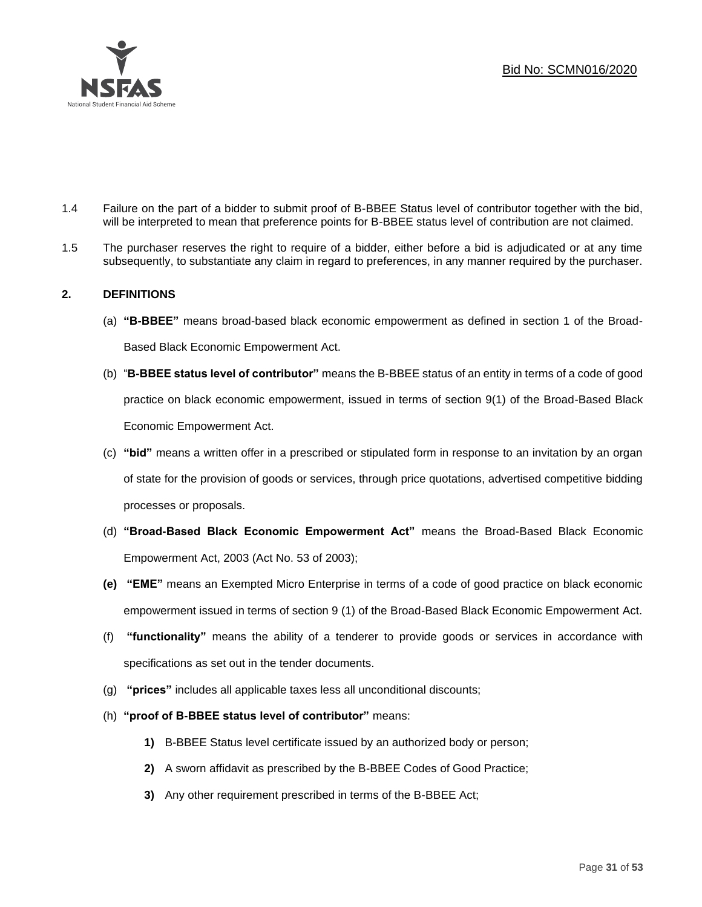

- 1.4 Failure on the part of a bidder to submit proof of B-BBEE Status level of contributor together with the bid, will be interpreted to mean that preference points for B-BBEE status level of contribution are not claimed.
- 1.5 The purchaser reserves the right to require of a bidder, either before a bid is adjudicated or at any time subsequently, to substantiate any claim in regard to preferences, in any manner required by the purchaser.

#### **2. DEFINITIONS**

- (a) **"B-BBEE"** means broad-based black economic empowerment as defined in section 1 of the Broad-Based Black Economic Empowerment Act.
- (b) "**B-BBEE status level of contributor"** means the B-BBEE status of an entity in terms of a code of good practice on black economic empowerment, issued in terms of section 9(1) of the Broad-Based Black Economic Empowerment Act.
- (c) **"bid"** means a written offer in a prescribed or stipulated form in response to an invitation by an organ of state for the provision of goods or services, through price quotations, advertised competitive bidding processes or proposals.
- (d) **"Broad-Based Black Economic Empowerment Act"** means the Broad-Based Black Economic Empowerment Act, 2003 (Act No. 53 of 2003);
- **(e) "EME"** means an Exempted Micro Enterprise in terms of a code of good practice on black economic empowerment issued in terms of section 9 (1) of the Broad-Based Black Economic Empowerment Act.
- (f) **"functionality"** means the ability of a tenderer to provide goods or services in accordance with specifications as set out in the tender documents.
- (g) **"prices"** includes all applicable taxes less all unconditional discounts;
- (h) **"proof of B-BBEE status level of contributor"** means:
	- **1)** B-BBEE Status level certificate issued by an authorized body or person;
	- **2)** A sworn affidavit as prescribed by the B-BBEE Codes of Good Practice;
	- **3)** Any other requirement prescribed in terms of the B-BBEE Act;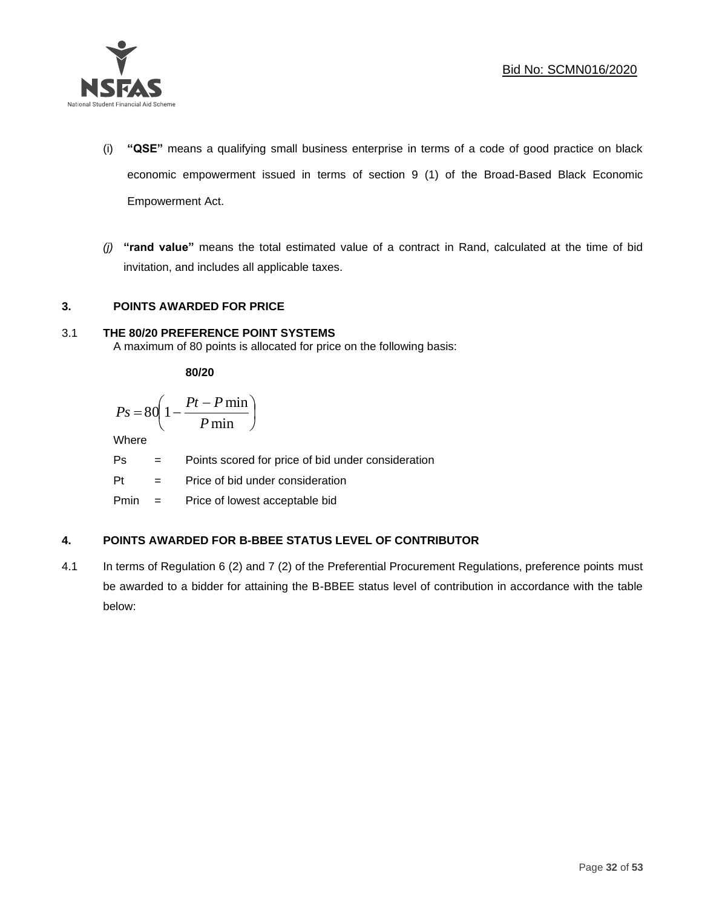

- (i) **"QSE"** means a qualifying small business enterprise in terms of a code of good practice on black economic empowerment issued in terms of section 9 (1) of the Broad-Based Black Economic Empowerment Act.
- *(j)* **"rand value"** means the total estimated value of a contract in Rand, calculated at the time of bid invitation, and includes all applicable taxes.

#### **3. POINTS AWARDED FOR PRICE**

## 3.1 **THE 80/20 PREFERENCE POINT SYSTEMS**

A maximum of 80 points is allocated for price on the following basis:

**80/20**

$$
Ps = 80 \left( 1 - \frac{Pt - P \min}{P \min} \right)
$$

Where

Ps = Points scored for price of bid under consideration

l

Pt = Price of bid under consideration

Pmin = Price of lowest acceptable bid

## **4. POINTS AWARDED FOR B-BBEE STATUS LEVEL OF CONTRIBUTOR**

4.1 In terms of Regulation 6 (2) and 7 (2) of the Preferential Procurement Regulations, preference points must be awarded to a bidder for attaining the B-BBEE status level of contribution in accordance with the table below: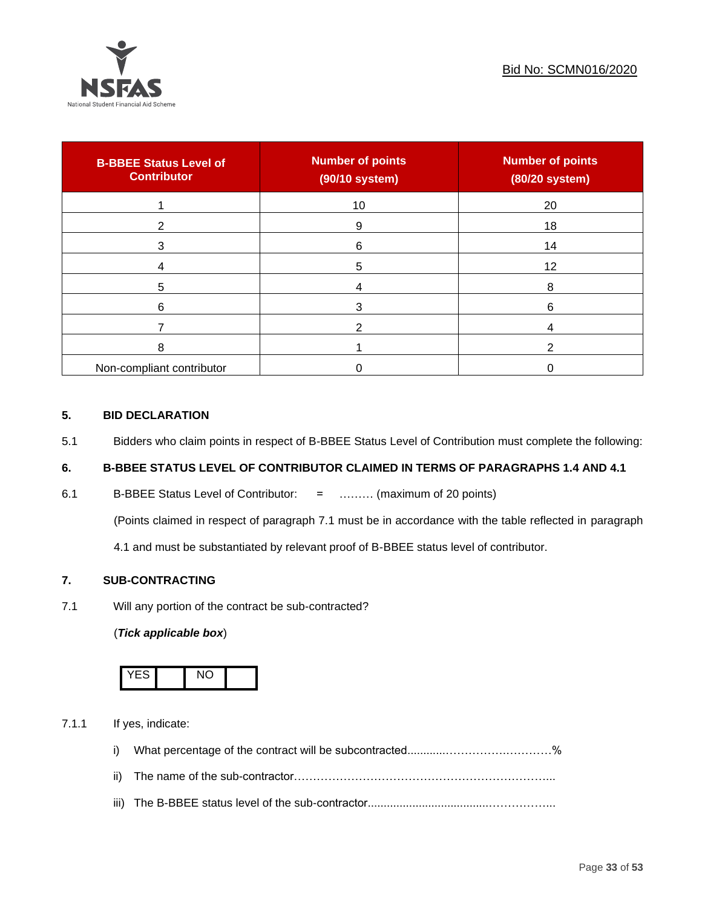

| <b>B-BBEE Status Level of</b><br><b>Contributor</b> | <b>Number of points</b><br>(90/10 system) | <b>Number of points</b><br>(80/20 system) |
|-----------------------------------------------------|-------------------------------------------|-------------------------------------------|
|                                                     | 10                                        | 20                                        |
| ◠                                                   | 9                                         | 18                                        |
| 3                                                   | 6                                         | 14                                        |
|                                                     | 5                                         | 12                                        |
| 5                                                   |                                           | 8                                         |
| 6                                                   |                                           | 6                                         |
|                                                     |                                           |                                           |
| 8                                                   |                                           |                                           |
| Non-compliant contributor                           |                                           |                                           |

#### **5. BID DECLARATION**

5.1 Bidders who claim points in respect of B-BBEE Status Level of Contribution must complete the following:

## **6. B-BBEE STATUS LEVEL OF CONTRIBUTOR CLAIMED IN TERMS OF PARAGRAPHS 1.4 AND 4.1**

6.1 B-BBEE Status Level of Contributor: = ……… (maximum of 20 points)

(Points claimed in respect of paragraph 7.1 must be in accordance with the table reflected in paragraph

4.1 and must be substantiated by relevant proof of B-BBEE status level of contributor.

#### **7. SUB-CONTRACTING**

7.1 Will any portion of the contract be sub-contracted?

#### (*Tick applicable box*)



7.1.1 If yes, indicate:

- i) What percentage of the contract will be subcontracted............…………….…………%
- ii) The name of the sub-contractor…………………………………………………………...
- iii) The B-BBEE status level of the sub-contractor......................................……………...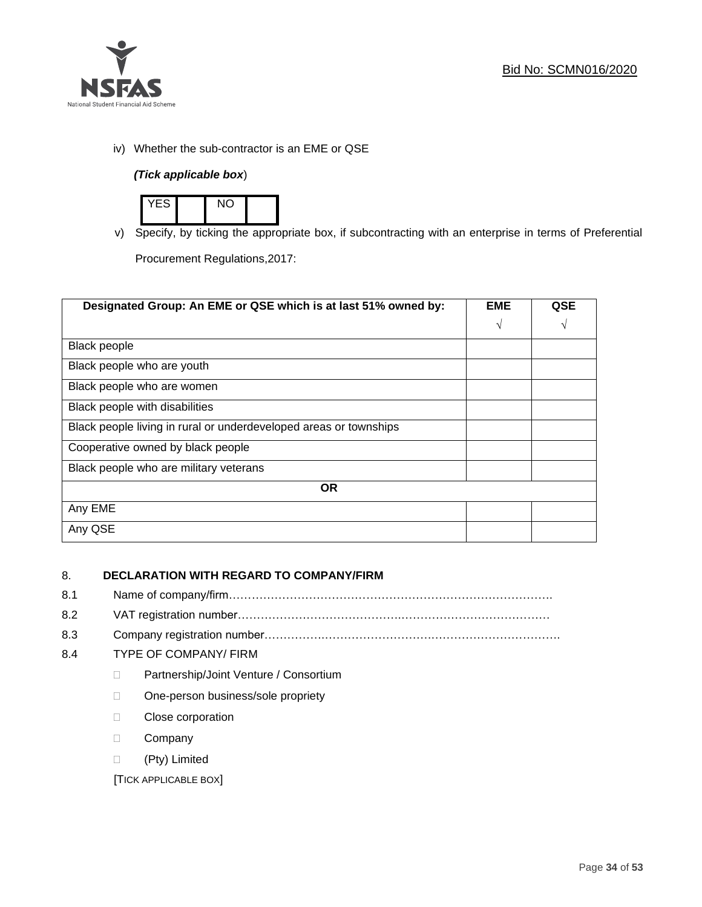

iv) Whether the sub-contractor is an EME or QSE

## *(Tick applicable box*)



v) Specify, by ticking the appropriate box, if subcontracting with an enterprise in terms of Preferential

Procurement Regulations,2017:

| Designated Group: An EME or QSE which is at last 51% owned by:    |            | <b>QSE</b> |
|-------------------------------------------------------------------|------------|------------|
|                                                                   | $\sqrt{ }$ | V          |
| <b>Black people</b>                                               |            |            |
| Black people who are youth                                        |            |            |
| Black people who are women                                        |            |            |
| Black people with disabilities                                    |            |            |
| Black people living in rural or underdeveloped areas or townships |            |            |
| Cooperative owned by black people                                 |            |            |
| Black people who are military veterans                            |            |            |
| <b>OR</b>                                                         |            |            |
| Any EME                                                           |            |            |
| Any QSE                                                           |            |            |

## 8. **DECLARATION WITH REGARD TO COMPANY/FIRM**

- 8.1 Name of company/firm………………………………………………………………………….
- 8.2 VAT registration number…………………………………….…………………………………
- 8.3 Company registration number…………….……………………….…………………………….

#### 8.4 TYPE OF COMPANY/ FIRM

- D Partnership/Joint Venture / Consortium
- □ One-person business/sole propriety
- D Close corporation
- D Company
- (Pty) Limited

[TICK APPLICABLE BOX]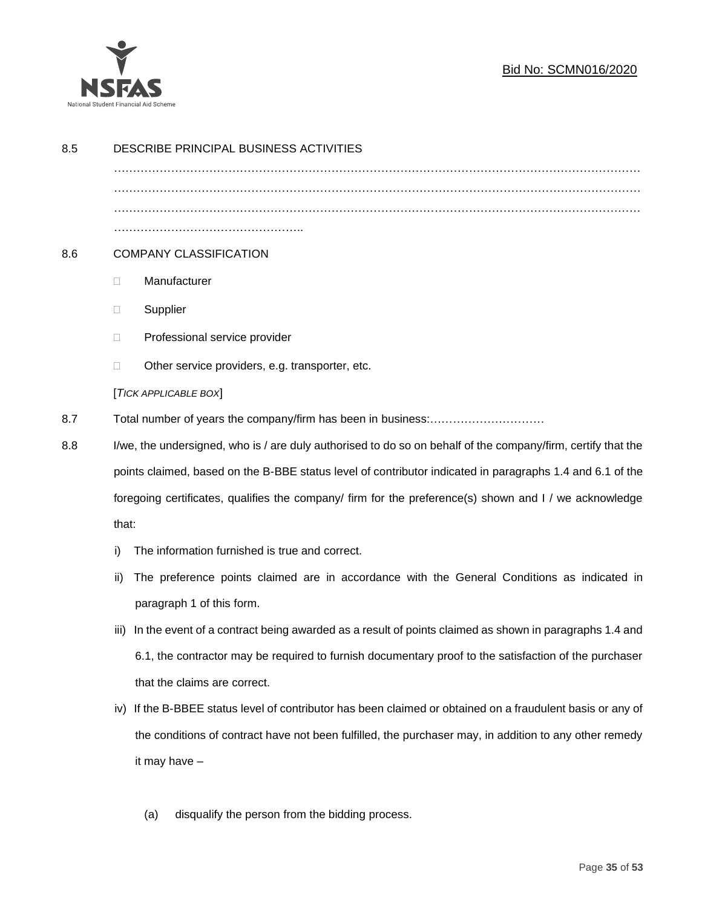

## Bid No: SCMN016/2020

| 8.5 | DESCRIBE PRINCIPAL BUSINESS ACTIVITIES                                                                                                                                                                                                                                                                                                       |                                                                                                        |  |
|-----|----------------------------------------------------------------------------------------------------------------------------------------------------------------------------------------------------------------------------------------------------------------------------------------------------------------------------------------------|--------------------------------------------------------------------------------------------------------|--|
|     |                                                                                                                                                                                                                                                                                                                                              |                                                                                                        |  |
|     |                                                                                                                                                                                                                                                                                                                                              |                                                                                                        |  |
|     |                                                                                                                                                                                                                                                                                                                                              |                                                                                                        |  |
| 8.6 | <b>COMPANY CLASSIFICATION</b>                                                                                                                                                                                                                                                                                                                |                                                                                                        |  |
|     | O.                                                                                                                                                                                                                                                                                                                                           | Manufacturer                                                                                           |  |
|     | □                                                                                                                                                                                                                                                                                                                                            | Supplier                                                                                               |  |
|     | □                                                                                                                                                                                                                                                                                                                                            | Professional service provider                                                                          |  |
|     | □                                                                                                                                                                                                                                                                                                                                            | Other service providers, e.g. transporter, etc.                                                        |  |
|     |                                                                                                                                                                                                                                                                                                                                              | [TICK APPLICABLE BOX]                                                                                  |  |
| 8.7 |                                                                                                                                                                                                                                                                                                                                              |                                                                                                        |  |
| 8.8 | I/we, the undersigned, who is / are duly authorised to do so on behalf of the company/firm, certify that the<br>points claimed, based on the B-BBE status level of contributor indicated in paragraphs 1.4 and 6.1 of the<br>foregoing certificates, qualifies the company/ firm for the preference(s) shown and I / we acknowledge<br>that: |                                                                                                        |  |
|     |                                                                                                                                                                                                                                                                                                                                              |                                                                                                        |  |
|     |                                                                                                                                                                                                                                                                                                                                              |                                                                                                        |  |
|     |                                                                                                                                                                                                                                                                                                                                              |                                                                                                        |  |
|     | i)                                                                                                                                                                                                                                                                                                                                           | The information furnished is true and correct.                                                         |  |
|     | ii)                                                                                                                                                                                                                                                                                                                                          | The preference points claimed are in accordance with the General Conditions as indicated in            |  |
|     |                                                                                                                                                                                                                                                                                                                                              | paragraph 1 of this form.                                                                              |  |
|     | iii)                                                                                                                                                                                                                                                                                                                                         | In the event of a contract being awarded as a result of points claimed as shown in paragraphs 1.4 and  |  |
|     |                                                                                                                                                                                                                                                                                                                                              | 6.1, the contractor may be required to furnish documentary proof to the satisfaction of the purchaser  |  |
|     |                                                                                                                                                                                                                                                                                                                                              | that the claims are correct.                                                                           |  |
|     | iv)                                                                                                                                                                                                                                                                                                                                          | If the B-BBEE status level of contributor has been claimed or obtained on a fraudulent basis or any of |  |
|     | the conditions of contract have not been fulfilled, the purchaser may, in addition to any other remedy<br>it may have -                                                                                                                                                                                                                      |                                                                                                        |  |
|     |                                                                                                                                                                                                                                                                                                                                              |                                                                                                        |  |
|     |                                                                                                                                                                                                                                                                                                                                              |                                                                                                        |  |
|     |                                                                                                                                                                                                                                                                                                                                              | disqualify the person from the bidding process.<br>(a)                                                 |  |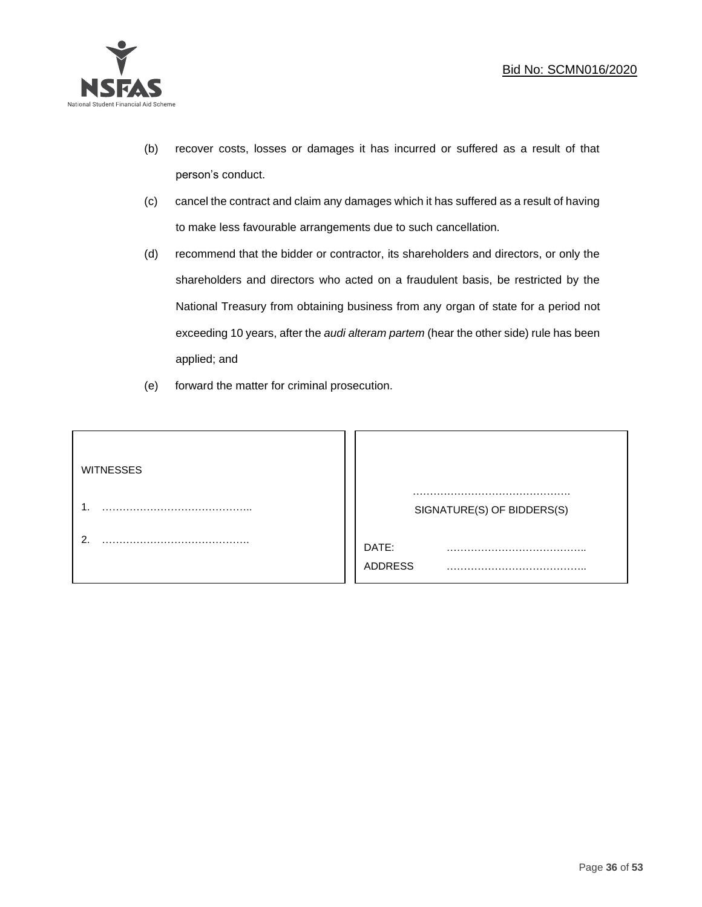

- (b) recover costs, losses or damages it has incurred or suffered as a result of that person's conduct.
- (c) cancel the contract and claim any damages which it has suffered as a result of having to make less favourable arrangements due to such cancellation.
- (d) recommend that the bidder or contractor, its shareholders and directors, or only the shareholders and directors who acted on a fraudulent basis, be restricted by the National Treasury from obtaining business from any organ of state for a period not exceeding 10 years, after the *audi alteram partem* (hear the other side) rule has been applied; and
- (e) forward the matter for criminal prosecution.

| <b>WITNESSES</b> |                              |
|------------------|------------------------------|
|                  | SIGNATURE(S) OF BIDDERS(S)   |
|                  | DATE:<br>.<br><b>ADDRESS</b> |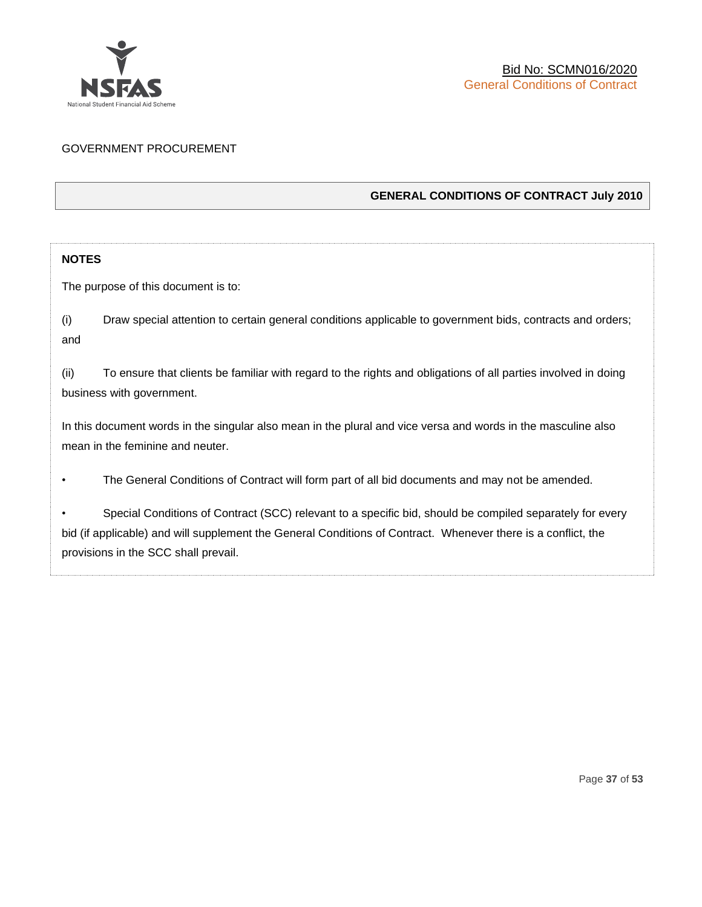

#### GOVERNMENT PROCUREMENT

#### **GENERAL CONDITIONS OF CONTRACT July 2010**

#### **NOTES**

The purpose of this document is to:

(i) Draw special attention to certain general conditions applicable to government bids, contracts and orders; and

(ii) To ensure that clients be familiar with regard to the rights and obligations of all parties involved in doing business with government.

In this document words in the singular also mean in the plural and vice versa and words in the masculine also mean in the feminine and neuter.

• The General Conditions of Contract will form part of all bid documents and may not be amended.

Special Conditions of Contract (SCC) relevant to a specific bid, should be compiled separately for every bid (if applicable) and will supplement the General Conditions of Contract. Whenever there is a conflict, the provisions in the SCC shall prevail.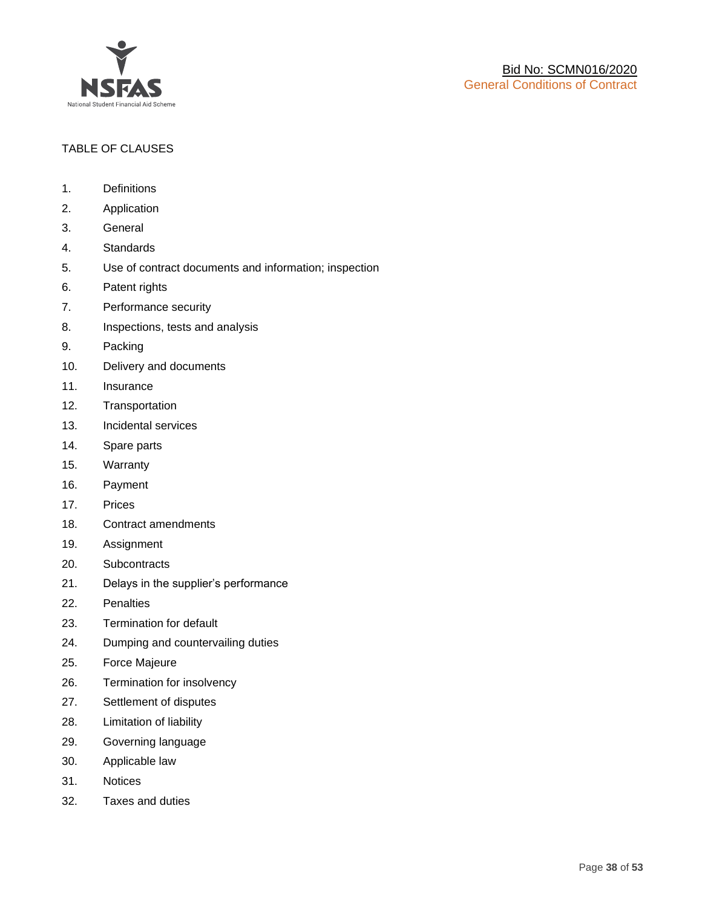

#### TABLE OF CLAUSES

- 1. Definitions
- 2. Application
- 3. General
- 4. Standards
- 5. Use of contract documents and information; inspection
- 6. Patent rights
- 7. Performance security
- 8. Inspections, tests and analysis
- 9. Packing
- 10. Delivery and documents
- 11. Insurance
- 12. Transportation
- 13. Incidental services
- 14. Spare parts
- 15. Warranty
- 16. Payment
- 17. Prices
- 18. Contract amendments
- 19. Assignment
- 20. Subcontracts
- 21. Delays in the supplier's performance
- 22. Penalties
- 23. Termination for default
- 24. Dumping and countervailing duties
- 25. Force Majeure
- 26. Termination for insolvency
- 27. Settlement of disputes
- 28. Limitation of liability
- 29. Governing language
- 30. Applicable law
- 31. Notices
- 32. Taxes and duties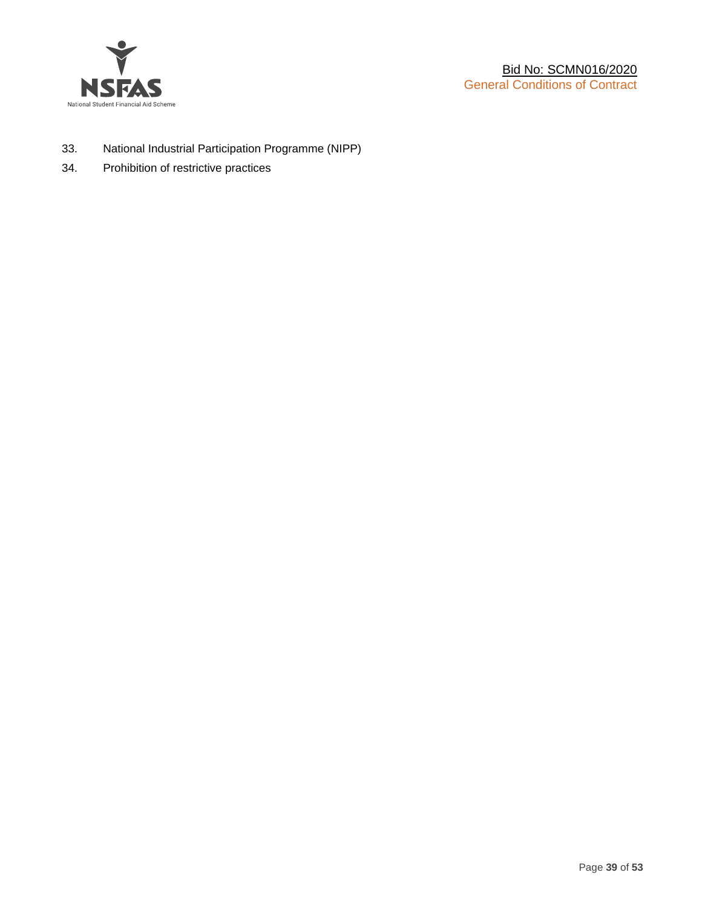

- 33. National Industrial Participation Programme (NIPP)
- 34. Prohibition of restrictive practices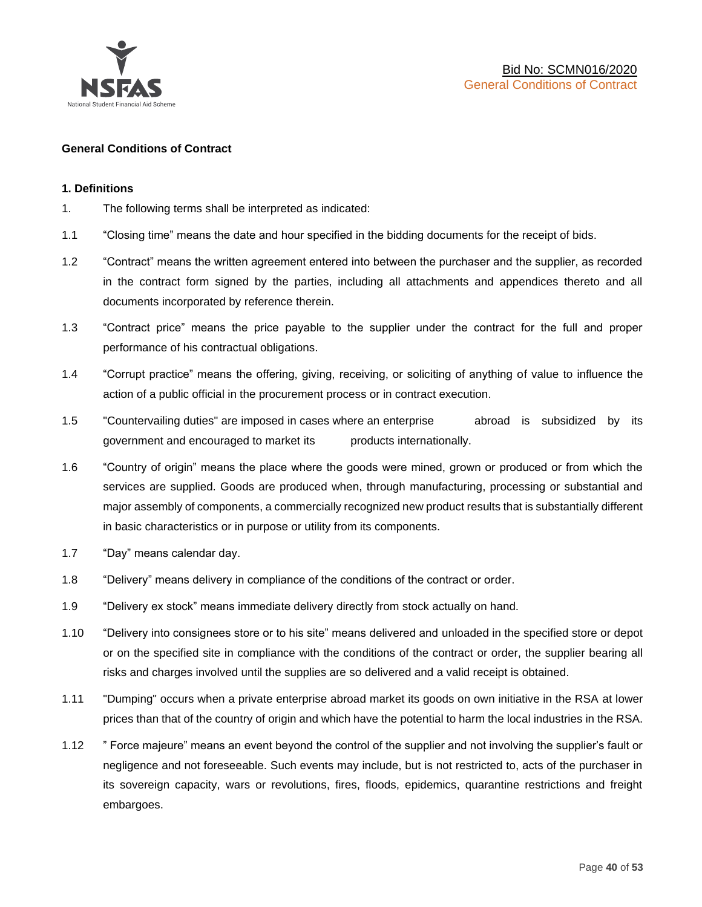

#### **General Conditions of Contract**

#### **1. Definitions**

- 1. The following terms shall be interpreted as indicated:
- 1.1 "Closing time" means the date and hour specified in the bidding documents for the receipt of bids.
- 1.2 "Contract" means the written agreement entered into between the purchaser and the supplier, as recorded in the contract form signed by the parties, including all attachments and appendices thereto and all documents incorporated by reference therein.
- 1.3 "Contract price" means the price payable to the supplier under the contract for the full and proper performance of his contractual obligations.
- 1.4 "Corrupt practice" means the offering, giving, receiving, or soliciting of anything of value to influence the action of a public official in the procurement process or in contract execution.
- 1.5 "Countervailing duties" are imposed in cases where an enterprise abroad is subsidized by its government and encouraged to market its products internationally.
- 1.6 "Country of origin" means the place where the goods were mined, grown or produced or from which the services are supplied. Goods are produced when, through manufacturing, processing or substantial and major assembly of components, a commercially recognized new product results that is substantially different in basic characteristics or in purpose or utility from its components.
- 1.7 "Day" means calendar day.
- 1.8 "Delivery" means delivery in compliance of the conditions of the contract or order.
- 1.9 "Delivery ex stock" means immediate delivery directly from stock actually on hand.
- 1.10 "Delivery into consignees store or to his site" means delivered and unloaded in the specified store or depot or on the specified site in compliance with the conditions of the contract or order, the supplier bearing all risks and charges involved until the supplies are so delivered and a valid receipt is obtained.
- 1.11 "Dumping" occurs when a private enterprise abroad market its goods on own initiative in the RSA at lower prices than that of the country of origin and which have the potential to harm the local industries in the RSA.
- 1.12 " Force majeure" means an event beyond the control of the supplier and not involving the supplier's fault or negligence and not foreseeable. Such events may include, but is not restricted to, acts of the purchaser in its sovereign capacity, wars or revolutions, fires, floods, epidemics, quarantine restrictions and freight embargoes.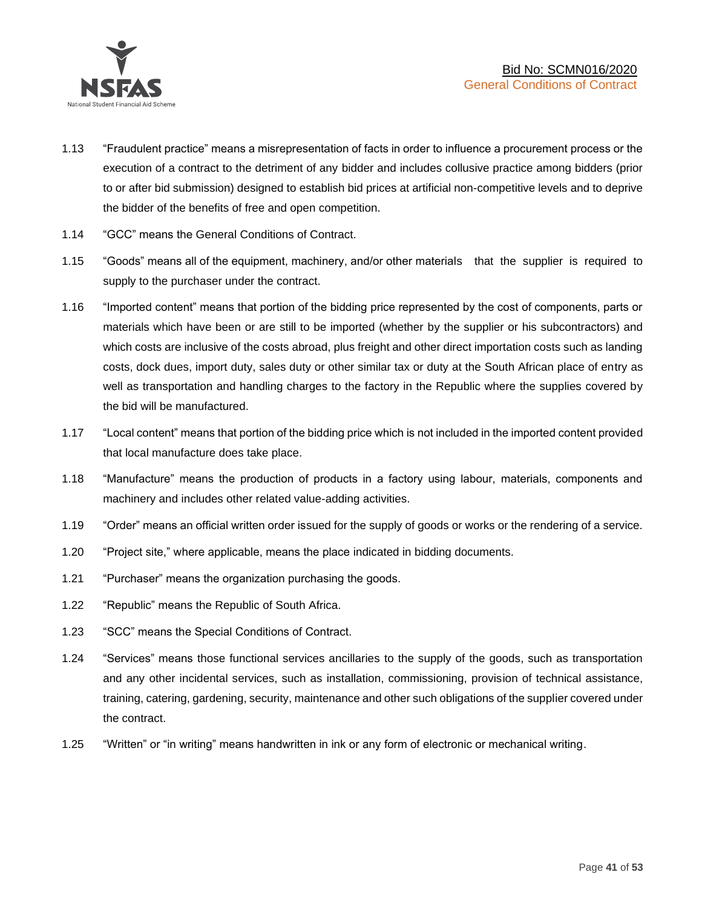

- 1.13 "Fraudulent practice" means a misrepresentation of facts in order to influence a procurement process or the execution of a contract to the detriment of any bidder and includes collusive practice among bidders (prior to or after bid submission) designed to establish bid prices at artificial non-competitive levels and to deprive the bidder of the benefits of free and open competition.
- 1.14 "GCC" means the General Conditions of Contract.
- 1.15 "Goods" means all of the equipment, machinery, and/or other materials that the supplier is required to supply to the purchaser under the contract.
- 1.16 "Imported content" means that portion of the bidding price represented by the cost of components, parts or materials which have been or are still to be imported (whether by the supplier or his subcontractors) and which costs are inclusive of the costs abroad, plus freight and other direct importation costs such as landing costs, dock dues, import duty, sales duty or other similar tax or duty at the South African place of entry as well as transportation and handling charges to the factory in the Republic where the supplies covered by the bid will be manufactured.
- 1.17 "Local content" means that portion of the bidding price which is not included in the imported content provided that local manufacture does take place.
- 1.18 "Manufacture" means the production of products in a factory using labour, materials, components and machinery and includes other related value-adding activities.
- 1.19 "Order" means an official written order issued for the supply of goods or works or the rendering of a service.
- 1.20 "Project site," where applicable, means the place indicated in bidding documents.
- 1.21 "Purchaser" means the organization purchasing the goods.
- 1.22 "Republic" means the Republic of South Africa.
- 1.23 "SCC" means the Special Conditions of Contract.
- 1.24 "Services" means those functional services ancillaries to the supply of the goods, such as transportation and any other incidental services, such as installation, commissioning, provision of technical assistance, training, catering, gardening, security, maintenance and other such obligations of the supplier covered under the contract.
- 1.25 "Written" or "in writing" means handwritten in ink or any form of electronic or mechanical writing.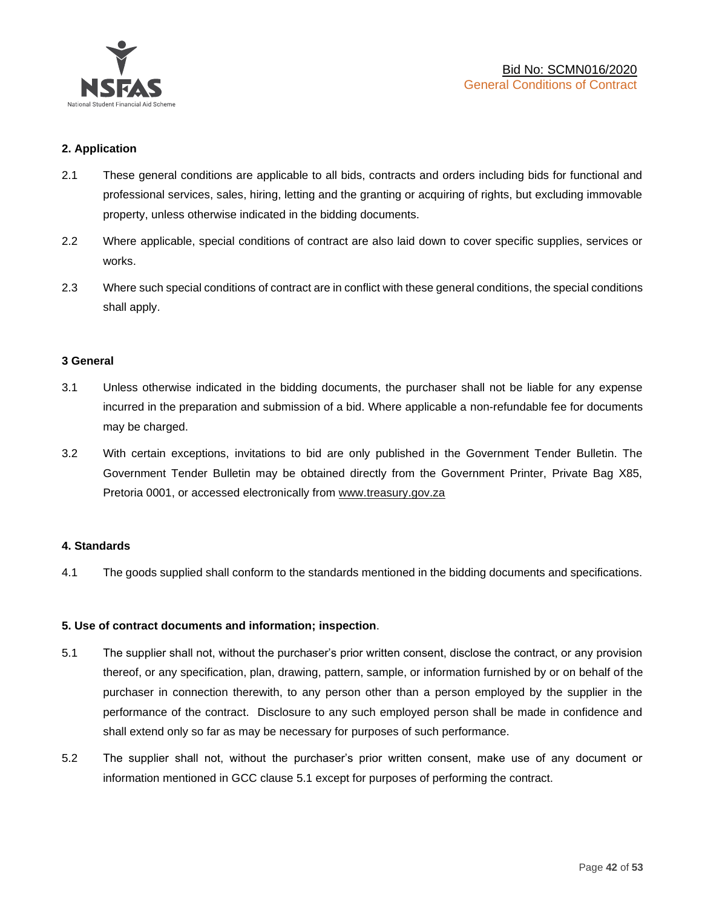

#### **2. Application**

- 2.1 These general conditions are applicable to all bids, contracts and orders including bids for functional and professional services, sales, hiring, letting and the granting or acquiring of rights, but excluding immovable property, unless otherwise indicated in the bidding documents.
- 2.2 Where applicable, special conditions of contract are also laid down to cover specific supplies, services or works.
- 2.3 Where such special conditions of contract are in conflict with these general conditions, the special conditions shall apply.

#### **3 General**

- 3.1 Unless otherwise indicated in the bidding documents, the purchaser shall not be liable for any expense incurred in the preparation and submission of a bid. Where applicable a non-refundable fee for documents may be charged.
- 3.2 With certain exceptions, invitations to bid are only published in the Government Tender Bulletin. The Government Tender Bulletin may be obtained directly from the Government Printer, Private Bag X85, Pretoria 0001, or accessed electronically from [www.treasury.gov.za](http://www.treasury.gov.za/)

#### **4. Standards**

4.1 The goods supplied shall conform to the standards mentioned in the bidding documents and specifications.

#### **5. Use of contract documents and information; inspection**.

- 5.1 The supplier shall not, without the purchaser's prior written consent, disclose the contract, or any provision thereof, or any specification, plan, drawing, pattern, sample, or information furnished by or on behalf of the purchaser in connection therewith, to any person other than a person employed by the supplier in the performance of the contract. Disclosure to any such employed person shall be made in confidence and shall extend only so far as may be necessary for purposes of such performance.
- 5.2 The supplier shall not, without the purchaser's prior written consent, make use of any document or information mentioned in GCC clause 5.1 except for purposes of performing the contract.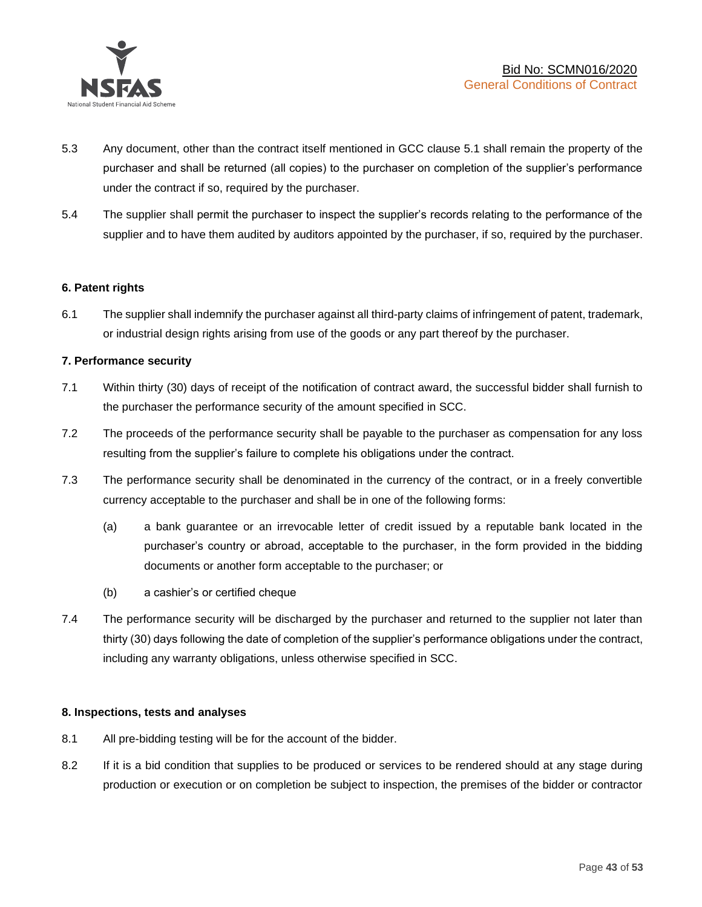

- 5.3 Any document, other than the contract itself mentioned in GCC clause 5.1 shall remain the property of the purchaser and shall be returned (all copies) to the purchaser on completion of the supplier's performance under the contract if so, required by the purchaser.
- 5.4 The supplier shall permit the purchaser to inspect the supplier's records relating to the performance of the supplier and to have them audited by auditors appointed by the purchaser, if so, required by the purchaser.

#### **6. Patent rights**

6.1 The supplier shall indemnify the purchaser against all third-party claims of infringement of patent, trademark, or industrial design rights arising from use of the goods or any part thereof by the purchaser.

#### **7. Performance security**

- 7.1 Within thirty (30) days of receipt of the notification of contract award, the successful bidder shall furnish to the purchaser the performance security of the amount specified in SCC.
- 7.2 The proceeds of the performance security shall be payable to the purchaser as compensation for any loss resulting from the supplier's failure to complete his obligations under the contract.
- 7.3 The performance security shall be denominated in the currency of the contract, or in a freely convertible currency acceptable to the purchaser and shall be in one of the following forms:
	- (a) a bank guarantee or an irrevocable letter of credit issued by a reputable bank located in the purchaser's country or abroad, acceptable to the purchaser, in the form provided in the bidding documents or another form acceptable to the purchaser; or
	- (b) a cashier's or certified cheque
- 7.4 The performance security will be discharged by the purchaser and returned to the supplier not later than thirty (30) days following the date of completion of the supplier's performance obligations under the contract, including any warranty obligations, unless otherwise specified in SCC.

#### **8. Inspections, tests and analyses**

- 8.1 All pre-bidding testing will be for the account of the bidder.
- 8.2 If it is a bid condition that supplies to be produced or services to be rendered should at any stage during production or execution or on completion be subject to inspection, the premises of the bidder or contractor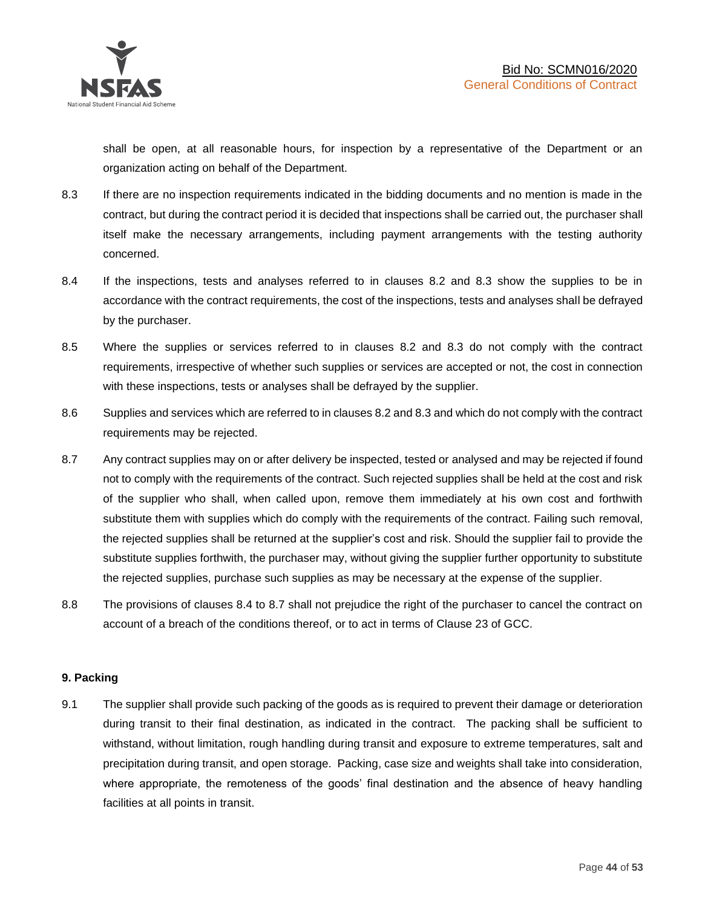shall be open, at all reasonable hours, for inspection by a representative of the Department or an organization acting on behalf of the Department.

- 8.3 If there are no inspection requirements indicated in the bidding documents and no mention is made in the contract, but during the contract period it is decided that inspections shall be carried out, the purchaser shall itself make the necessary arrangements, including payment arrangements with the testing authority concerned.
- 8.4 If the inspections, tests and analyses referred to in clauses 8.2 and 8.3 show the supplies to be in accordance with the contract requirements, the cost of the inspections, tests and analyses shall be defrayed by the purchaser.
- 8.5 Where the supplies or services referred to in clauses 8.2 and 8.3 do not comply with the contract requirements, irrespective of whether such supplies or services are accepted or not, the cost in connection with these inspections, tests or analyses shall be defrayed by the supplier.
- 8.6 Supplies and services which are referred to in clauses 8.2 and 8.3 and which do not comply with the contract requirements may be rejected.
- 8.7 Any contract supplies may on or after delivery be inspected, tested or analysed and may be rejected if found not to comply with the requirements of the contract. Such rejected supplies shall be held at the cost and risk of the supplier who shall, when called upon, remove them immediately at his own cost and forthwith substitute them with supplies which do comply with the requirements of the contract. Failing such removal, the rejected supplies shall be returned at the supplier's cost and risk. Should the supplier fail to provide the substitute supplies forthwith, the purchaser may, without giving the supplier further opportunity to substitute the rejected supplies, purchase such supplies as may be necessary at the expense of the supplier.
- 8.8 The provisions of clauses 8.4 to 8.7 shall not prejudice the right of the purchaser to cancel the contract on account of a breach of the conditions thereof, or to act in terms of Clause 23 of GCC.

#### **9. Packing**

9.1 The supplier shall provide such packing of the goods as is required to prevent their damage or deterioration during transit to their final destination, as indicated in the contract. The packing shall be sufficient to withstand, without limitation, rough handling during transit and exposure to extreme temperatures, salt and precipitation during transit, and open storage. Packing, case size and weights shall take into consideration, where appropriate, the remoteness of the goods' final destination and the absence of heavy handling facilities at all points in transit.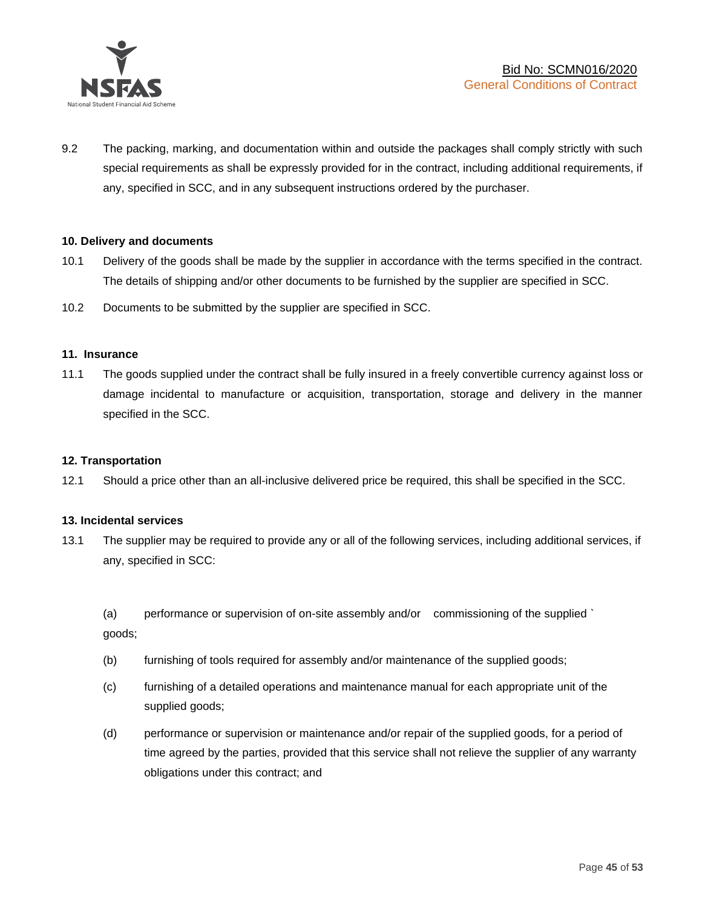

9.2 The packing, marking, and documentation within and outside the packages shall comply strictly with such special requirements as shall be expressly provided for in the contract, including additional requirements, if any, specified in SCC, and in any subsequent instructions ordered by the purchaser.

#### **10. Delivery and documents**

- 10.1 Delivery of the goods shall be made by the supplier in accordance with the terms specified in the contract. The details of shipping and/or other documents to be furnished by the supplier are specified in SCC.
- 10.2 Documents to be submitted by the supplier are specified in SCC.

#### **11. Insurance**

11.1 The goods supplied under the contract shall be fully insured in a freely convertible currency against loss or damage incidental to manufacture or acquisition, transportation, storage and delivery in the manner specified in the SCC.

#### **12. Transportation**

12.1 Should a price other than an all-inclusive delivered price be required, this shall be specified in the SCC.

#### **13. Incidental services**

13.1 The supplier may be required to provide any or all of the following services, including additional services, if any, specified in SCC:

(a) performance or supervision of on-site assembly and/or commissioning of the supplied ` goods;

- (b) furnishing of tools required for assembly and/or maintenance of the supplied goods;
- (c) furnishing of a detailed operations and maintenance manual for each appropriate unit of the supplied goods;
- (d) performance or supervision or maintenance and/or repair of the supplied goods, for a period of time agreed by the parties, provided that this service shall not relieve the supplier of any warranty obligations under this contract; and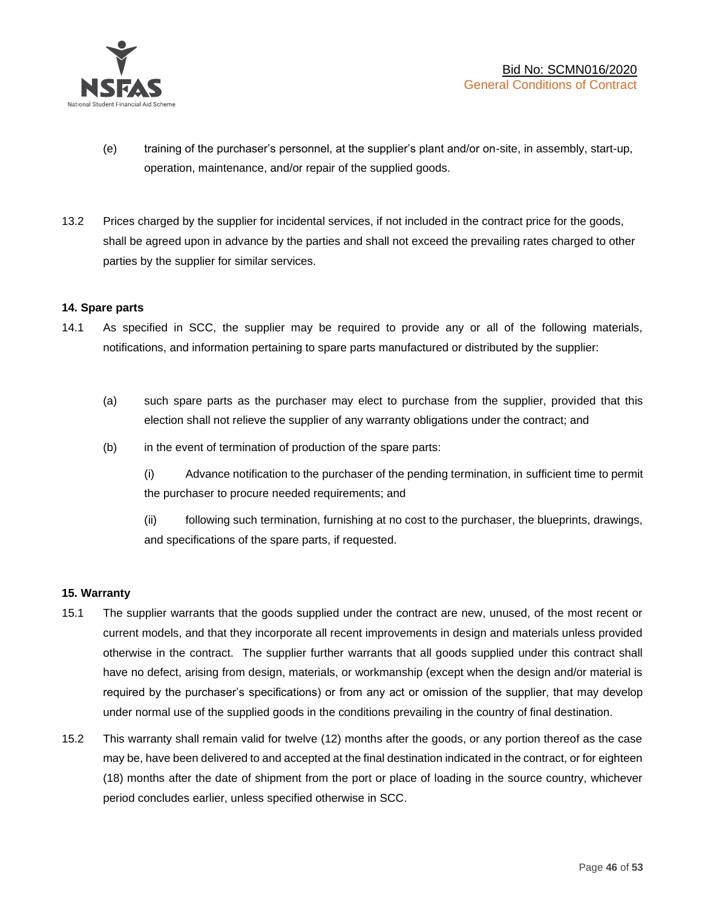

- (e) training of the purchaser's personnel, at the supplier's plant and/or on-site, in assembly, start-up, operation, maintenance, and/or repair of the supplied goods.
- 13.2 Prices charged by the supplier for incidental services, if not included in the contract price for the goods, shall be agreed upon in advance by the parties and shall not exceed the prevailing rates charged to other parties by the supplier for similar services.

#### **14. Spare parts**

- 14.1 As specified in SCC, the supplier may be required to provide any or all of the following materials, notifications, and information pertaining to spare parts manufactured or distributed by the supplier:
	- (a) such spare parts as the purchaser may elect to purchase from the supplier, provided that this election shall not relieve the supplier of any warranty obligations under the contract; and
	- (b) in the event of termination of production of the spare parts:

(i) Advance notification to the purchaser of the pending termination, in sufficient time to permit the purchaser to procure needed requirements; and

(ii) following such termination, furnishing at no cost to the purchaser, the blueprints, drawings, and specifications of the spare parts, if requested.

#### **15. Warranty**

- 15.1 The supplier warrants that the goods supplied under the contract are new, unused, of the most recent or current models, and that they incorporate all recent improvements in design and materials unless provided otherwise in the contract. The supplier further warrants that all goods supplied under this contract shall have no defect, arising from design, materials, or workmanship (except when the design and/or material is required by the purchaser's specifications) or from any act or omission of the supplier, that may develop under normal use of the supplied goods in the conditions prevailing in the country of final destination.
- 15.2 This warranty shall remain valid for twelve (12) months after the goods, or any portion thereof as the case may be, have been delivered to and accepted at the final destination indicated in the contract, or for eighteen (18) months after the date of shipment from the port or place of loading in the source country, whichever period concludes earlier, unless specified otherwise in SCC.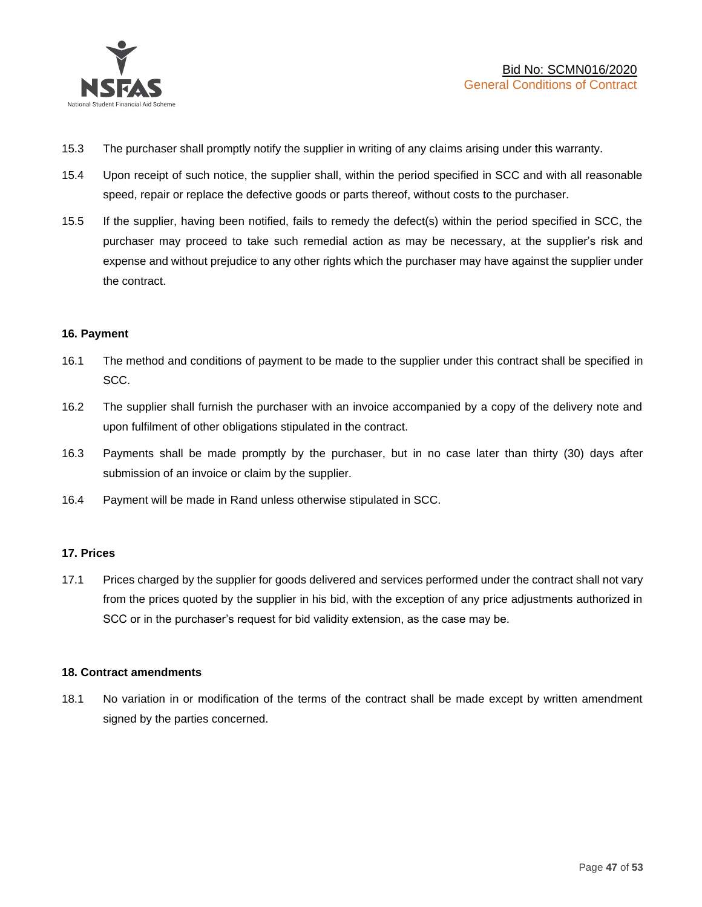

- 15.3 The purchaser shall promptly notify the supplier in writing of any claims arising under this warranty.
- 15.4 Upon receipt of such notice, the supplier shall, within the period specified in SCC and with all reasonable speed, repair or replace the defective goods or parts thereof, without costs to the purchaser.
- 15.5 If the supplier, having been notified, fails to remedy the defect(s) within the period specified in SCC, the purchaser may proceed to take such remedial action as may be necessary, at the supplier's risk and expense and without prejudice to any other rights which the purchaser may have against the supplier under the contract.

#### **16. Payment**

- 16.1 The method and conditions of payment to be made to the supplier under this contract shall be specified in SCC.
- 16.2 The supplier shall furnish the purchaser with an invoice accompanied by a copy of the delivery note and upon fulfilment of other obligations stipulated in the contract.
- 16.3 Payments shall be made promptly by the purchaser, but in no case later than thirty (30) days after submission of an invoice or claim by the supplier.
- 16.4 Payment will be made in Rand unless otherwise stipulated in SCC.

#### **17. Prices**

17.1 Prices charged by the supplier for goods delivered and services performed under the contract shall not vary from the prices quoted by the supplier in his bid, with the exception of any price adjustments authorized in SCC or in the purchaser's request for bid validity extension, as the case may be.

#### **18. Contract amendments**

18.1 No variation in or modification of the terms of the contract shall be made except by written amendment signed by the parties concerned.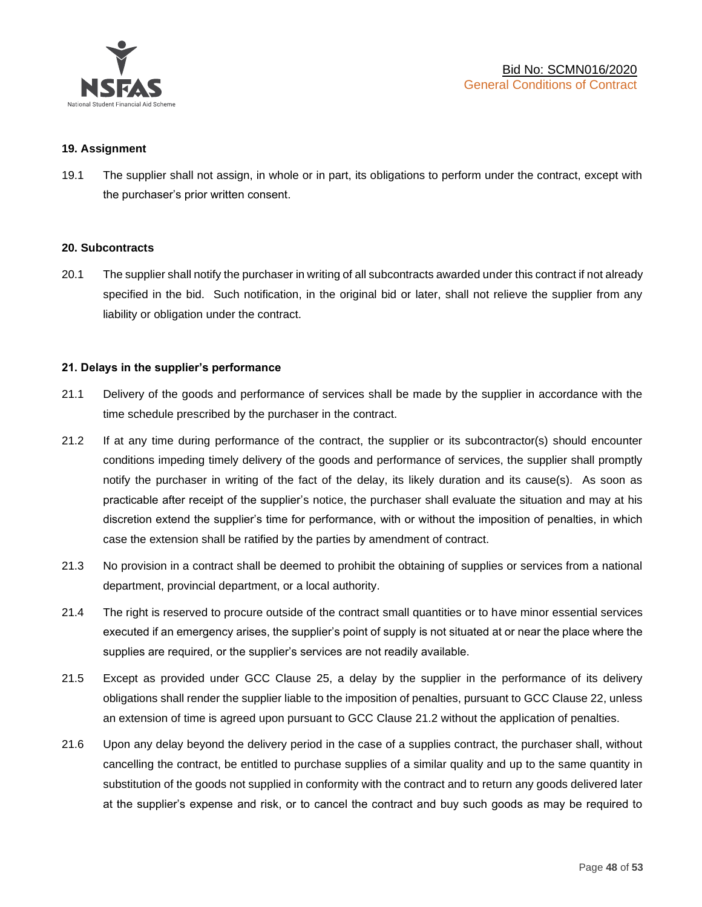

#### **19. Assignment**

19.1 The supplier shall not assign, in whole or in part, its obligations to perform under the contract, except with the purchaser's prior written consent.

#### **20. Subcontracts**

20.1 The supplier shall notify the purchaser in writing of all subcontracts awarded under this contract if not already specified in the bid. Such notification, in the original bid or later, shall not relieve the supplier from any liability or obligation under the contract.

#### **21. Delays in the supplier's performance**

- 21.1 Delivery of the goods and performance of services shall be made by the supplier in accordance with the time schedule prescribed by the purchaser in the contract.
- 21.2 If at any time during performance of the contract, the supplier or its subcontractor(s) should encounter conditions impeding timely delivery of the goods and performance of services, the supplier shall promptly notify the purchaser in writing of the fact of the delay, its likely duration and its cause(s). As soon as practicable after receipt of the supplier's notice, the purchaser shall evaluate the situation and may at his discretion extend the supplier's time for performance, with or without the imposition of penalties, in which case the extension shall be ratified by the parties by amendment of contract.
- 21.3 No provision in a contract shall be deemed to prohibit the obtaining of supplies or services from a national department, provincial department, or a local authority.
- 21.4 The right is reserved to procure outside of the contract small quantities or to have minor essential services executed if an emergency arises, the supplier's point of supply is not situated at or near the place where the supplies are required, or the supplier's services are not readily available.
- 21.5 Except as provided under GCC Clause 25, a delay by the supplier in the performance of its delivery obligations shall render the supplier liable to the imposition of penalties, pursuant to GCC Clause 22, unless an extension of time is agreed upon pursuant to GCC Clause 21.2 without the application of penalties.
- 21.6 Upon any delay beyond the delivery period in the case of a supplies contract, the purchaser shall, without cancelling the contract, be entitled to purchase supplies of a similar quality and up to the same quantity in substitution of the goods not supplied in conformity with the contract and to return any goods delivered later at the supplier's expense and risk, or to cancel the contract and buy such goods as may be required to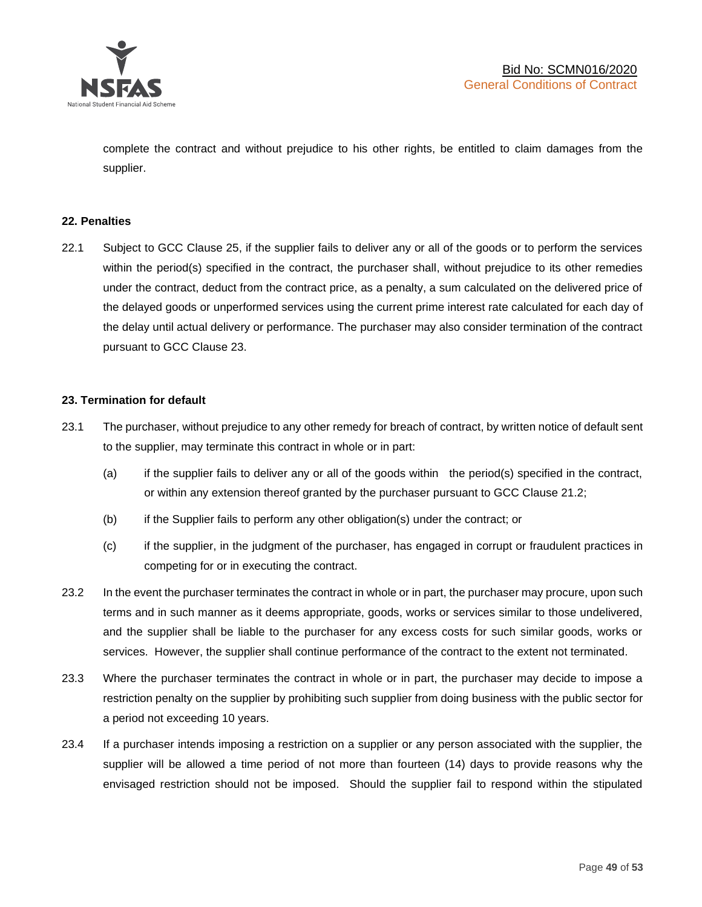

complete the contract and without prejudice to his other rights, be entitled to claim damages from the supplier.

#### **22. Penalties**

22.1 Subject to GCC Clause 25, if the supplier fails to deliver any or all of the goods or to perform the services within the period(s) specified in the contract, the purchaser shall, without prejudice to its other remedies under the contract, deduct from the contract price, as a penalty, a sum calculated on the delivered price of the delayed goods or unperformed services using the current prime interest rate calculated for each day of the delay until actual delivery or performance. The purchaser may also consider termination of the contract pursuant to GCC Clause 23.

#### **23. Termination for default**

- 23.1 The purchaser, without prejudice to any other remedy for breach of contract, by written notice of default sent to the supplier, may terminate this contract in whole or in part:
	- (a) if the supplier fails to deliver any or all of the goods within the period(s) specified in the contract, or within any extension thereof granted by the purchaser pursuant to GCC Clause 21.2;
	- (b) if the Supplier fails to perform any other obligation(s) under the contract; or
	- (c) if the supplier, in the judgment of the purchaser, has engaged in corrupt or fraudulent practices in competing for or in executing the contract.
- 23.2 In the event the purchaser terminates the contract in whole or in part, the purchaser may procure, upon such terms and in such manner as it deems appropriate, goods, works or services similar to those undelivered, and the supplier shall be liable to the purchaser for any excess costs for such similar goods, works or services. However, the supplier shall continue performance of the contract to the extent not terminated.
- 23.3 Where the purchaser terminates the contract in whole or in part, the purchaser may decide to impose a restriction penalty on the supplier by prohibiting such supplier from doing business with the public sector for a period not exceeding 10 years.
- 23.4 If a purchaser intends imposing a restriction on a supplier or any person associated with the supplier, the supplier will be allowed a time period of not more than fourteen (14) days to provide reasons why the envisaged restriction should not be imposed. Should the supplier fail to respond within the stipulated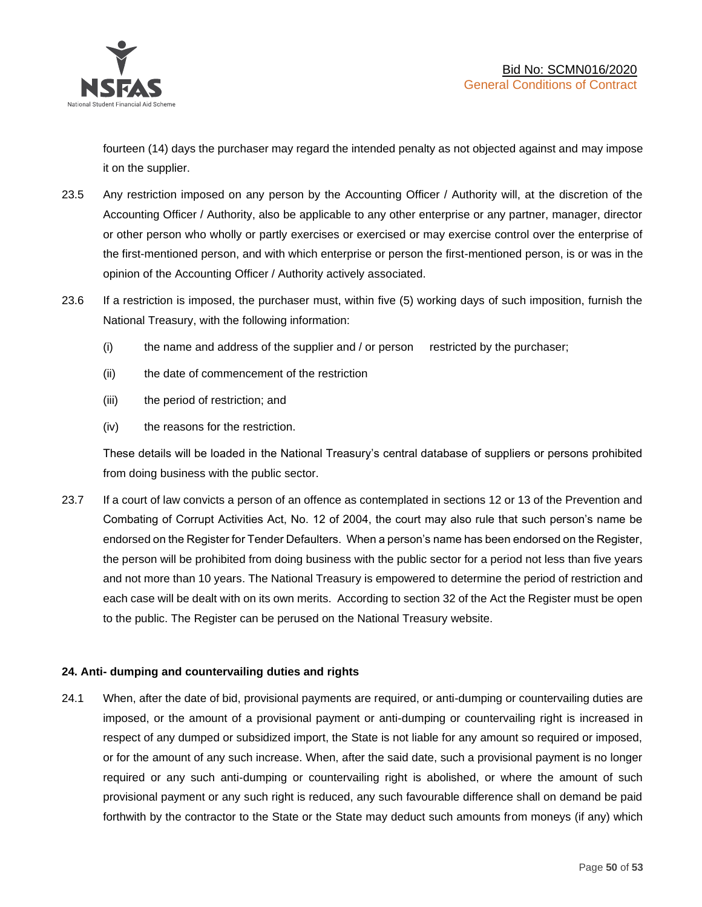

fourteen (14) days the purchaser may regard the intended penalty as not objected against and may impose it on the supplier.

- 23.5 Any restriction imposed on any person by the Accounting Officer / Authority will, at the discretion of the Accounting Officer / Authority, also be applicable to any other enterprise or any partner, manager, director or other person who wholly or partly exercises or exercised or may exercise control over the enterprise of the first-mentioned person, and with which enterprise or person the first-mentioned person, is or was in the opinion of the Accounting Officer / Authority actively associated.
- 23.6 If a restriction is imposed, the purchaser must, within five (5) working days of such imposition, furnish the National Treasury, with the following information:
	- (i) the name and address of the supplier and / or person restricted by the purchaser;
	- (ii) the date of commencement of the restriction
	- (iii) the period of restriction; and
	- (iv) the reasons for the restriction.

These details will be loaded in the National Treasury's central database of suppliers or persons prohibited from doing business with the public sector.

23.7 If a court of law convicts a person of an offence as contemplated in sections 12 or 13 of the Prevention and Combating of Corrupt Activities Act, No. 12 of 2004, the court may also rule that such person's name be endorsed on the Register for Tender Defaulters. When a person's name has been endorsed on the Register, the person will be prohibited from doing business with the public sector for a period not less than five years and not more than 10 years. The National Treasury is empowered to determine the period of restriction and each case will be dealt with on its own merits. According to section 32 of the Act the Register must be open to the public. The Register can be perused on the National Treasury website.

#### **24. Anti- dumping and countervailing duties and rights**

24.1 When, after the date of bid, provisional payments are required, or anti-dumping or countervailing duties are imposed, or the amount of a provisional payment or anti-dumping or countervailing right is increased in respect of any dumped or subsidized import, the State is not liable for any amount so required or imposed, or for the amount of any such increase. When, after the said date, such a provisional payment is no longer required or any such anti-dumping or countervailing right is abolished, or where the amount of such provisional payment or any such right is reduced, any such favourable difference shall on demand be paid forthwith by the contractor to the State or the State may deduct such amounts from moneys (if any) which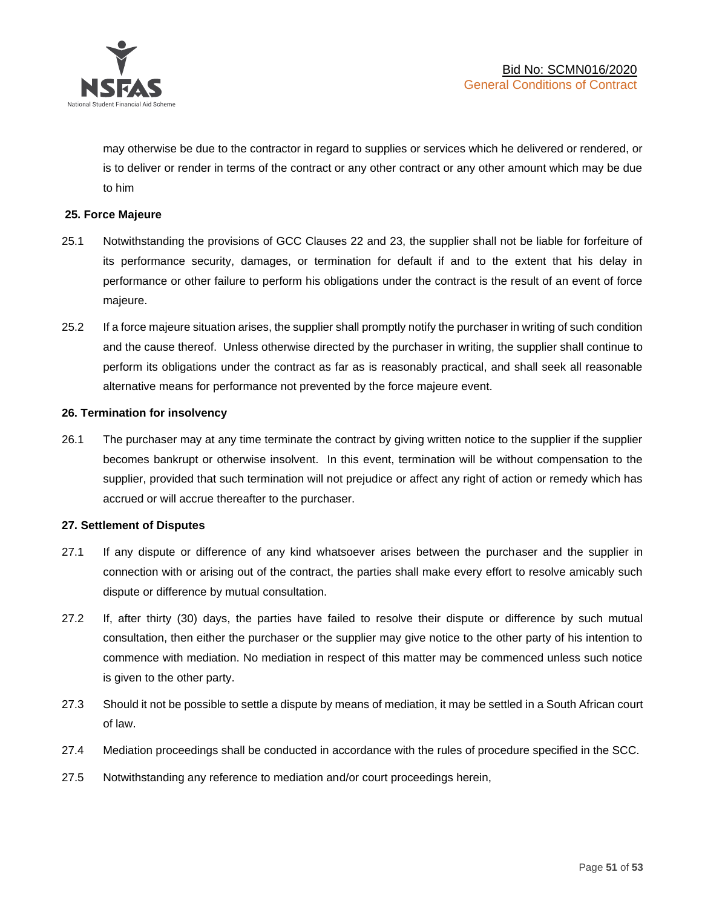

may otherwise be due to the contractor in regard to supplies or services which he delivered or rendered, or is to deliver or render in terms of the contract or any other contract or any other amount which may be due to him

#### **25. Force Majeure**

- 25.1 Notwithstanding the provisions of GCC Clauses 22 and 23, the supplier shall not be liable for forfeiture of its performance security, damages, or termination for default if and to the extent that his delay in performance or other failure to perform his obligations under the contract is the result of an event of force majeure.
- 25.2 If a force majeure situation arises, the supplier shall promptly notify the purchaser in writing of such condition and the cause thereof. Unless otherwise directed by the purchaser in writing, the supplier shall continue to perform its obligations under the contract as far as is reasonably practical, and shall seek all reasonable alternative means for performance not prevented by the force majeure event.

#### **26. Termination for insolvency**

26.1 The purchaser may at any time terminate the contract by giving written notice to the supplier if the supplier becomes bankrupt or otherwise insolvent. In this event, termination will be without compensation to the supplier, provided that such termination will not prejudice or affect any right of action or remedy which has accrued or will accrue thereafter to the purchaser.

#### **27. Settlement of Disputes**

- 27.1 If any dispute or difference of any kind whatsoever arises between the purchaser and the supplier in connection with or arising out of the contract, the parties shall make every effort to resolve amicably such dispute or difference by mutual consultation.
- 27.2 If, after thirty (30) days, the parties have failed to resolve their dispute or difference by such mutual consultation, then either the purchaser or the supplier may give notice to the other party of his intention to commence with mediation. No mediation in respect of this matter may be commenced unless such notice is given to the other party.
- 27.3 Should it not be possible to settle a dispute by means of mediation, it may be settled in a South African court of law.
- 27.4 Mediation proceedings shall be conducted in accordance with the rules of procedure specified in the SCC.
- 27.5 Notwithstanding any reference to mediation and/or court proceedings herein,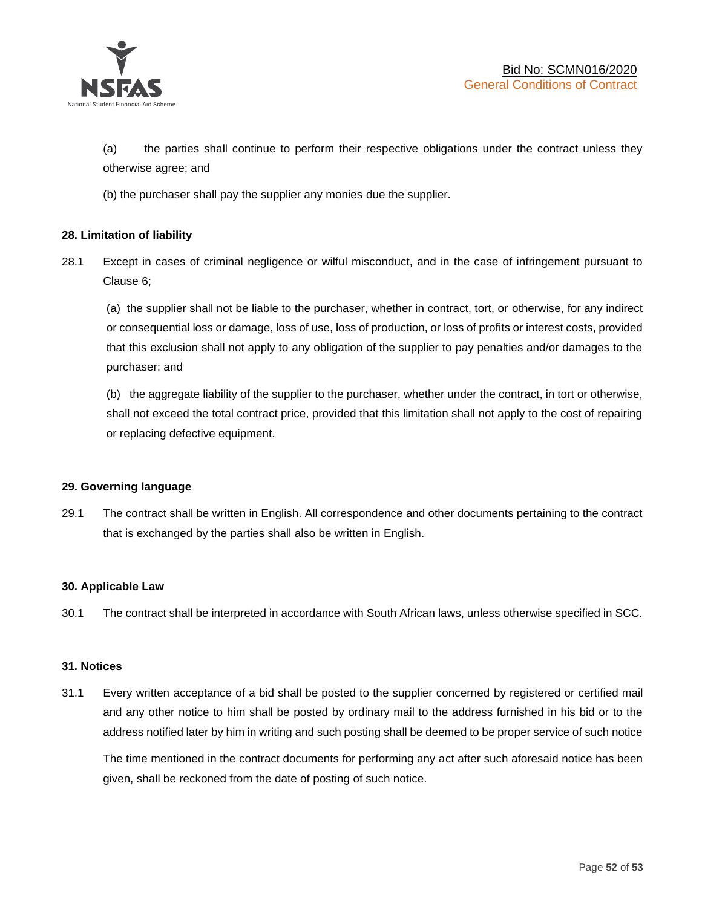

(a) the parties shall continue to perform their respective obligations under the contract unless they otherwise agree; and

(b) the purchaser shall pay the supplier any monies due the supplier.

#### **28. Limitation of liability**

28.1 Except in cases of criminal negligence or wilful misconduct, and in the case of infringement pursuant to Clause 6;

(a) the supplier shall not be liable to the purchaser, whether in contract, tort, or otherwise, for any indirect or consequential loss or damage, loss of use, loss of production, or loss of profits or interest costs, provided that this exclusion shall not apply to any obligation of the supplier to pay penalties and/or damages to the purchaser; and

(b) the aggregate liability of the supplier to the purchaser, whether under the contract, in tort or otherwise, shall not exceed the total contract price, provided that this limitation shall not apply to the cost of repairing or replacing defective equipment.

#### **29. Governing language**

29.1 The contract shall be written in English. All correspondence and other documents pertaining to the contract that is exchanged by the parties shall also be written in English.

#### **30. Applicable Law**

30.1 The contract shall be interpreted in accordance with South African laws, unless otherwise specified in SCC.

#### **31. Notices**

31.1 Every written acceptance of a bid shall be posted to the supplier concerned by registered or certified mail and any other notice to him shall be posted by ordinary mail to the address furnished in his bid or to the address notified later by him in writing and such posting shall be deemed to be proper service of such notice

The time mentioned in the contract documents for performing any act after such aforesaid notice has been given, shall be reckoned from the date of posting of such notice.